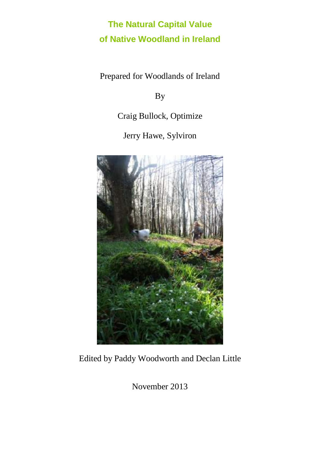# **The Natural Capital Value of Native Woodland in Ireland**

Prepared for Woodlands of Ireland

By

Craig Bullock, Optimize

Jerry Hawe, Sylviron



Edited by Paddy Woodworth and Declan Little

November 2013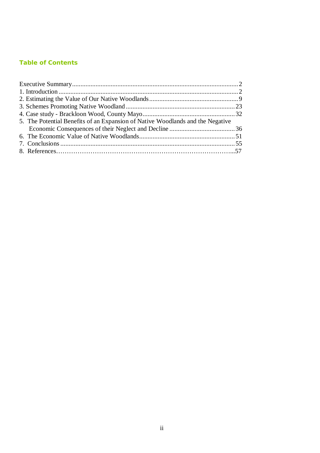### **Table of Contents**

| 5. The Potential Benefits of an Expansion of Native Woodlands and the Negative |  |
|--------------------------------------------------------------------------------|--|
|                                                                                |  |
|                                                                                |  |
|                                                                                |  |
|                                                                                |  |
|                                                                                |  |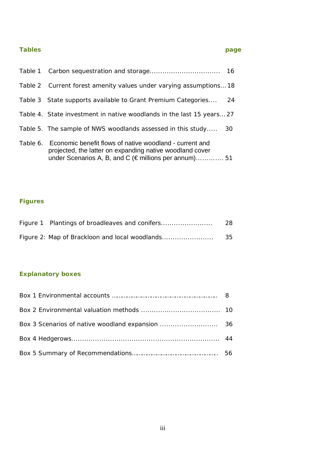### **Tables page**

| Table 1 |                                                                                                                                                                                                 | 16 |
|---------|-------------------------------------------------------------------------------------------------------------------------------------------------------------------------------------------------|----|
|         | Table 2 Current forest amenity values under varying assumptions 18                                                                                                                              |    |
|         | Table 3 State supports available to Grant Premium Categories                                                                                                                                    | 24 |
|         | Table 4. State investment in native woodlands in the last 15 years 27                                                                                                                           |    |
|         | Table 5. The sample of NWS woodlands assessed in this study                                                                                                                                     | 30 |
|         | Table 6. Economic benefit flows of native woodland - current and<br>projected, the latter on expanding native woodland cover<br>under Scenarios A, B, and C ( $\epsilon$ millions per annum) 51 |    |

### **Figures**

| Figure 1 Plantings of broadleaves and conifers | 28  |
|------------------------------------------------|-----|
| Figure 2: Map of Brackloon and local woodlands | -35 |

### **Explanatory boxes**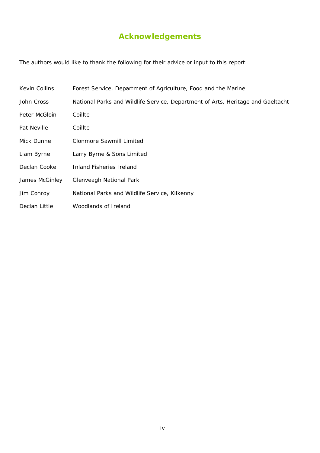# **Acknowledgements**

The authors would like to thank the following for their advice or input to this report:

| Kevin Collins  | Forest Service, Department of Agriculture, Food and the Marine                  |
|----------------|---------------------------------------------------------------------------------|
| John Cross     | National Parks and Wildlife Service, Department of Arts, Heritage and Gaeltacht |
| Peter McGloin  | Coillte                                                                         |
| Pat Neville    | Coillte                                                                         |
| Mick Dunne     | Clonmore Sawmill Limited                                                        |
| Liam Byrne     | Larry Byrne & Sons Limited                                                      |
| Declan Cooke   | Inland Fisheries Ireland                                                        |
| James McGinley | Glenveagh National Park                                                         |
| Jim Conroy     | National Parks and Wildlife Service, Kilkenny                                   |
| Declan Little  | Woodlands of Ireland                                                            |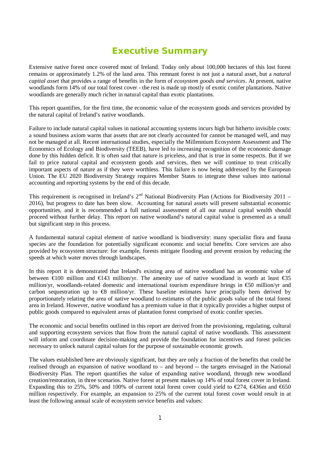## **Executive Summary**

Extensive native forest once covered most of Ireland. Today only about 100,000 hectares of this lost forest remains or approximately 1.2% of the land area. This remnant forest is not just a natural asset, but a *natural capital asset* that provides a range of benefits in the form of *ecosystem goods and services*. At present, native woodlands form 14% of our total forest cover - the rest is made up mostly of exotic conifer plantations. Native woodlands are generally much richer in natural capital than exotic plantations.

This report quantifies, for the first time, the economic value of the ecosystem goods and services provided by the natural capital of Ireland's native woodlands.

Failure to include natural capital values in national accounting systems incurs high but hitherto invisible costs: a sound business axiom warns that assets that are not clearly accounted for cannot be managed well, and may not be managed at all. Recent international studies, especially the Millennium Ecosystem Assessment and The Economics of Ecology and Biodiversity (TEEB), have led to increasing recognition of the economic damage done by this hidden deficit. It is often said that nature is priceless, and that is true in some respects. But if we fail to price natural capital and ecosystem goods and services, then we will continue to treat critically important aspects of nature as if they were worthless. This failure is now being addressed by the European Union. The EU 2020 Biodiversity Strategy requires Member States to integrate these values into national accounting and reporting systems by the end of this decade.

This requirement is recognised in Ireland's  $2<sup>nd</sup>$  National Biodiversity Plan (Actions for Biodiversity 2011 – 2016), but progress to date has been slow. Accounting for natural assets will present substantial economic opportunities, and it is recommended a full national assessment of all our natural capital wealth should proceed without further delay. This report on native woodland's natural capital value is presented as a small but significant step in this process.

A fundamental natural capital element of native woodland is biodiversity: many specialist flora and fauna species are the foundation for potentially significant economic and social benefits. Core services are also provided by ecosystem structure: for example, forests mitigate flooding and prevent erosion by reducing the speeds at which water moves through landscapes.

In this report it is demonstrated that Ireland's existing area of native woodland has an economic value of between  $\epsilon$ 100 million and  $\epsilon$ 143 million/yr. The amenity use of native woodland is worth at least  $\epsilon$ 35 million/yr, woodlands-related domestic and international tourism expenditure brings in €50 million/yr and carbon sequestration up to  $\epsilon$ 8 million/yr. These baseline estimates have principally been derived by proportionately relating the area of native woodland to estimates of the public goods value of the total forest area in Ireland. However, native woodland has a premium value in that it typically provides a higher output of public goods compared to equivalent areas of plantation forest comprised of exotic conifer species.

The economic and social benefits outlined in this report are derived from the provisioning, regulating, cultural and supporting ecosystem services that flow from the natural capital of native woodlands. This assessment will inform and coordinate decision-making and provide the foundation for incentives and forest policies necessary to unlock natural capital values for the purpose of sustainable economic growth.

The values established here are obviously significant, but they are only a fraction of the benefits that could be realised through an expansion of native woodland to – and beyond -- the targets envisaged in the National Biodiversity Plan. The report quantifies the value of expanding native woodland, through new woodland creation/restoration, in three scenarios. Native forest at present makes up 14% of total forest cover in Ireland. Expanding this to 25%, 50% and 100% of current total forest cover could yield to  $\epsilon$ 274,  $\epsilon$ 436m and  $\epsilon$ 650 million respectively. For example, an expansion to 25% of the current total forest cover would result in at least the following annual scale of ecosystem service benefits and values: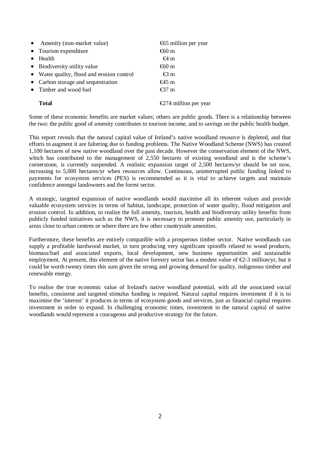| • Amenity (non-market value)               | €65 million per year              |
|--------------------------------------------|-----------------------------------|
| • Tourism expenditure                      | €60 $m$                           |
| Health                                     | €4 m                              |
| • Biodiversity utility value               | €60 m                             |
| • Water quality, flood and erosion control | $\text{\textsterling}3 \text{ m}$ |
| • Carbon storage and sequestration         | $€45$ m                           |
| • Timber and wood fuel                     | $€37$ m                           |
| Total                                      | €274 million per year             |
|                                            |                                   |

Some of these economic benefits are market values; others are public goods. There is a relationship between the two: the public good of amenity contributes to tourism income, and to savings on the public health budget.

This report reveals that the natural capital value of Ireland's native woodland resource is depleted, and that efforts to augment it are faltering due to funding problems. The Native Woodland Scheme (NWS) has created 1,100 hectares of new native woodland over the past decade. However the conservation element of the NWS, which has contributed to the management of 2,550 hectares of existing woodland and is the scheme's cornerstone, is currently suspended. A realistic expansion target of 2,500 hectares/yr should be set now, increasing to 5,000 hectares/yr when resources allow. Continuous, uninterrupted public funding linked to payments for ecosystem services (PES) is recommended as it is vital to achieve targets and maintain confidence amongst landowners and the forest sector.

A strategic, targeted expansion of native woodlands would maximise all its inherent values and provide valuable ecosystem services in terms of habitat, landscape, protection of water quality, flood mitigation and erosion control. In addition, to realise the full amenity, tourism, health and biodiversity utility benefits from publicly funded initiatives such as the NWS, it is necessary to promote public amenity use, particularly in areas close to urban centres or where there are few other countryside amenities.

Furthermore, these benefits are entirely compatible with a prosperous timber sector. Native woodlands can supply a profitable hardwood market, in turn producing very significant spinoffs related to wood products, biomass/fuel and associated exports, local development, new business opportunities and sustainable employment. At present, this element of the native forestry sector has a modest value of  $\epsilon$ 23 million/yr, but it could be worth twenty times this sum given the strong and growing demand for quality, indigenous timber and renewable energy.

To realise the true economic value of Ireland's native woodland potential, with all the associated social benefits, consistent and targeted stimulus funding is required. Natural capital requires investment if it is to maximise the 'interest' it produces in terms of ecosystem goods and services, just as financial capital requires investment in order to expand. In challenging economic times, investment in the natural capital of native woodlands would represent a courageous and productive strategy for the future.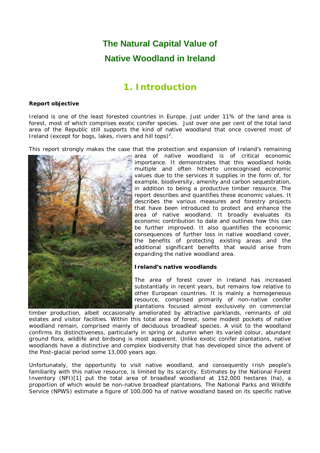# **The Natural Capital Value of Native Woodland in Ireland**

### **1. Introduction**

#### **Report objective**

Ireland is one of the least forested countries in Europe. Just under 11% of the land area is forest, most of which comprises exotic conifer species. Just over one per cent of the total land area of the Republic still supports the kind of native woodland that once covered most of Ireland (except for bogs, lakes, rivers and hill tops)<sup>2</sup>.

This report strongly makes the case that the protection and expansion of Ireland's remaining



area of native woodland is of critical economic importance. It demonstrates that this woodland holds multiple and often hitherto unrecognised economic values due to the services it supplies in the form of, for example, biodiversity, amenity and carbon sequestration, in addition to being a productive timber resource. The report describes and quantifies these economic values. It describes the various measures and forestry projects that have been introduced to protect and enhance the area of native woodland. It broadly evaluates its economic contribution to date and outlines how this can be further improved. It also quantifies the economic consequences of further loss in native woodland cover, the benefits of protecting existing areas and the additional significant benefits that would arise from expanding the native woodland area.

#### **Ireland's native woodlands**

The area of forest cover in Ireland has increased substantially in recent years, but remains low relative to other European countries. It is mainly a homogeneous resource, comprised primarily of non-native conifer plantations focused almost exclusively on commercial

timber production, albeit occasionally ameliorated by attractive parklands, remnants of old estates and visitor facilities. Within this total area of forest, some modest pockets of native woodland remain, comprised mainly of deciduous broadleaf species. A visit to the woodland confirms its distinctiveness, particularly in spring or autumn when its varied colour, abundant ground flora, wildlife and birdsong is most apparent. Unlike exotic conifer plantations, native woodlands have a distinctive and complex biodiversity that has developed since the advent of the Post-glacial period some 13,000 years ago.

Unfortunately, the opportunity to visit native woodland, and consequently Irish people's familiarity with this native resource, is limited by its scarcity. Estimates by the National Forest Inventory (NFI)[1] put the total area of broadleaf woodland at 152,000 hectares (ha), a proportion of which would be non-native broadleaf plantations. The National Parks and Wildlife Service (NPWS) estimate a figure of 100,000 ha of native woodland based on its specific native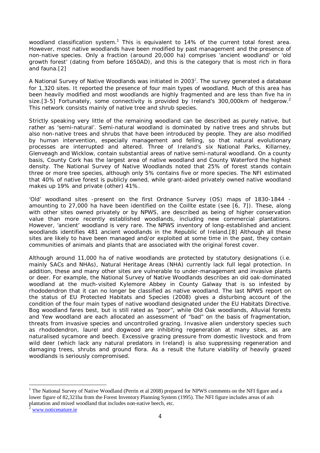woodland classification system.<sup>1</sup> This is equivalent to 14% of the current total forest area. However, most native woodlands have been modified by past management and the presence of non-native species. Only a fraction (around 20,000 ha) comprises 'ancient woodland' or 'old growth forest' (dating from before 1650AD), and this is the category that is most rich in flora and fauna.[2]

A National Survey of Native Woodlands was initiated in 2003<sup>2</sup>. The survey generated a database for 1,320 sites. It reported the presence of four main types of woodland. Much of this area has been heavily modified and most woodlands are highly fragmented and are less than five ha in size. [3-5] Fortunately, some connectivity is provided by Ireland's 300,000 km of hedgerow.<sup>2</sup> This network consists mainly of native tree and shrub species.

Strictly speaking very little of the remaining woodland can be described as purely native, but rather as 'semi-natural'. Semi-natural woodland is dominated by native trees and shrubs but also non-native trees and shrubs that have been introduced by people. They are also modified by human intervention, especially management and felling, so that natural evolutionary processes are interrupted and altered. Three of Ireland's six National Parks, Killarney, Glenveagh and Wicklow, contain substantial areas of native semi-natural woodland. On a county basis, County Cork has the largest area of native woodland and County Waterford the highest density. The National Survey of Native Woodlands noted that 25% of forest stands contain three or more tree species, although only 5% contains five or more species. The NFI estimated that 40% of native forest is publicly owned, while grant-aided privately owned native woodland makes up 19% and private (other) 41%.

'Old' woodland sites -present on the first Ordnance Survey (OS) maps of 1830-1844 amounting to 27,000 ha have been identified on the Coillte estate (see [6, 7]). These, along with other sites owned privately or by NPWS, are described as being of higher conservation value than more recently established woodlands, including new commercial plantations. However, 'ancient' woodland is very rare. The NPWS inventory of long-established and ancient woodlands identifies 481 ancient woodlands in the Republic of Ireland.[8] Although all these sites are likely to have been managed and/or exploited at some time in the past, they contain communities of animals and plants that are associated with the original forest cover.

Although around 11,000 ha of native woodlands are protected by statutory designations (i.e. mainly SACs and NHAs), Natural Heritage Areas (NHA) currently lack full legal protection. In addition, these and many other sites are vulnerable to under-management and invasive plants or deer. For example, the National Survey of Native Woodlands describes an old oak-dominated woodland at the much-visited Kylemore Abbey in County Galway that is so infested by rhododendron that it can no longer be classified as native woodland. The last NPWS report on the status of EU Protected Habitats and Species (2008) gives a disturbing account of the condition of the four main types of native woodland designated under the EU Habitats Directive. Bog woodland fares best, but is still rated as "poor", while Old Oak woodlands, Alluvial forests and Yew woodland are each allocated an assessment of "bad" on the basis of fragmentation, threats from invasive species and uncontrolled grazing. Invasive alien understory species such as rhododendron, laurel and dogwood are inhibiting regeneration at many sites, as are naturalised sycamore and beech. Excessive grazing pressure from domestic livestock and from wild deer (which lack any natural predators in Ireland) is also suppressing regeneration and damaging trees, shrubs and ground flora. As a result the future viability of heavily grazed woodlands is seriously compromised.

 $\overline{a}$ 

<sup>&</sup>lt;sup>1</sup> The National Survey of Native Woodland (Perrin et al 2008) prepared for NPWS comments on the NFI figure and a lower figure of 82,321ha from the Forest Inventory Planning System (1995). The NFI figure includes areas of ash plantation and mixed woodland that includes non-native beech, etc.

www.noticenature.ie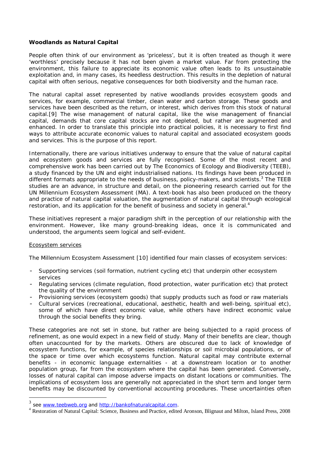#### **Woodlands as Natural Capital**

People often think of our environment as 'priceless', but it is often treated as though it were 'worthless' precisely because it has not been given a market value. Far from protecting the environment, this failure to appreciate its economic value often leads to its unsustainable exploitation and, in many cases, its heedless destruction. This results in the depletion of natural capital with often serious, negative consequences for both biodiversity and the human race.

The natural capital asset represented by native woodlands provides ecosystem goods and services, for example, commercial timber, clean water and carbon storage. These goods and services have been described as the return, or interest, which derives from this stock of natural capital.[9] The wise management of natural capital, like the wise management of financial capital, demands that core capital stocks are not depleted, but rather are augmented and enhanced. In order to translate this principle into practical policies, it is necessary to first find ways to attribute accurate economic values to natural capital and associated ecosystem goods and services. This is the purpose of this report.

Internationally, there are various initiatives underway to ensure that the value of natural capital and ecosystem goods and services are fully recognised. Some of the most recent and comprehensive work has been carried out by The Economics of Ecology and Biodiversity (TEEB), a study financed by the UN and eight industrialised nations. Its findings have been produced in different formats appropriate to the needs of business, policy-makers, and scientists. $3$  The TEEB studies are an advance, in structure and detail, on the pioneering research carried out for the UN Millennium Ecosystem Assessment (MA). A text-book has also been produced on the theory and practice of natural capital valuation, the augmentation of natural capital through ecological restoration, and its application for the benefit of business and society in general.<sup>4</sup>

These initiatives represent a major paradigm shift in the perception of our relationship with the environment. However, like many ground-breaking ideas, once it is communicated and understood, the arguments seem logical and self-evident.

#### Ecosystem services

The Millennium Ecosystem Assessment [10] identified four main classes of ecosystem services:

- Supporting services (soil formation, nutrient cycling etc) that underpin other ecosystem services
- Regulating services (climate regulation, flood protection, water purification etc) that protect the quality of the environment
- Provisioning services (ecosystem goods) that supply products such as food or raw materials
- Cultural services (recreational, educational, aesthetic, health and well-being, spiritual etc), some of which have direct economic value, while others have indirect economic value through the social benefits they bring.

These categories are not set in stone, but rather are being subjected to a rapid process of refinement, as one would expect in a new field of study. Many of their benefits are clear, though often unaccounted for by the markets. Others are obscured due to lack of knowledge of ecosystem functions, for example, of species relationships or soil microbial populations, or of the space or time over which ecosystems function. Natural capital may contribute external benefits - in economic language *externalities* - at a downstream location or to another population group, far from the ecosystem where the capital has been generated. Conversely, losses of natural capital can impose adverse impacts on distant locations or communities. The implications of ecosystem loss are generally not appreciated in the short term and longer term benefits may be discounted by conventional accounting procedures. These uncertainties often

 3 see www.teebweb.org and http://bankofnaturalcapital.com.

<sup>4</sup> Restoration of Natural Capital: Science, Business and Practice, edited Aronson, Blignaut and Milton, Island Press, 2008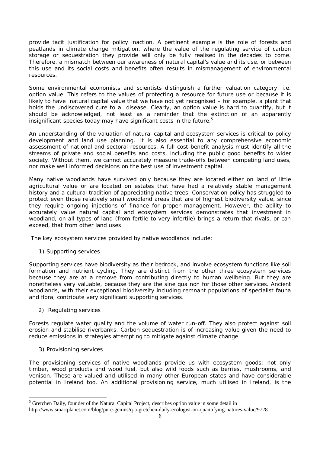provide tacit justification for policy inaction. A pertinent example is the role of forests and peatlands in climate change mitigation, where the value of the regulating service of carbon storage or sequestration they provide will only be fully realised in the decades to come. Therefore, a mismatch between our awareness of natural capital's value and its use, or between this use and its social costs and benefits often results in mismanagement of environmental resources.

Some environmental economists and scientists distinguish a further valuation category, i.e. *option value.* This refers to the values of protecting a resource for future use or because it is likely to have natural capital value that we have not yet recognised – for example, a plant that holds the undiscovered cure to a disease. Clearly, an option value is hard to quantify, but it should be acknowledged, not least as a reminder that the extinction of an apparently insignificant species today may have significant costs in the future.<sup>5</sup>

An understanding of the valuation of natural capital and ecosystem services is critical to policy development and land use planning. It is also essential to any comprehensive economic assessment of national and sectoral resources. A full cost-benefit analysis must identify all the streams of private and social benefits and costs, including the public good benefits to wider society. Without them, we cannot accurately measure trade-offs between competing land uses, nor make well informed decisions on the best use of investment capital.

Many native woodlands have survived only because they are located either on land of little agricultural value or are located on estates that have had a relatively stable management history and a cultural tradition of appreciating native trees. Conservation policy has struggled to protect even those relatively small woodland areas that are of highest biodiversity value, since they require ongoing injections of finance for proper management. However, the ability to accurately value natural capital and ecosystem services demonstrates that investment in woodland, on all types of land (from fertile to very infertile) brings a return that rivals, or can exceed, that from other land uses.

The key ecosystem services provided by native woodlands include:

1) Supporting services

Supporting services have biodiversity as their bedrock, and involve ecosystem functions like soil formation and nutrient cycling. They are distinct from the other three ecosystem services because they are at a remove from contributing directly to human wellbeing. But they are nonetheless very valuable, because they are the sine qua non for those other services. Ancient woodlands, with their exceptional biodiversity including remnant populations of specialist fauna and flora, contribute very significant supporting services.

2) Regulating services

Forests regulate water quality and the volume of water run-off. They also protect against soil erosion and stabilise riverbanks. Carbon sequestration is of increasing value given the need to reduce emissions in strategies attempting to mitigate against climate change.

3) Provisioning services

 $\overline{a}$ 

The provisioning services of native woodlands provide us with ecosystem goods: not only timber, wood products and wood fuel, but also wild foods such as berries, mushrooms, and venison. These are valued and utilised in many other European states and have considerable potential in Ireland too. An additional provisioning service, much utilised in Ireland, is the

<sup>&</sup>lt;sup>5</sup> Gretchen Daily, founder of the Natural Capital Project, describes option value in some detail in

http://www.smartplanet.com/blog/pure-genius/q-a-gretchen-daily-ecologist-on-quantifying-natures-value/9728.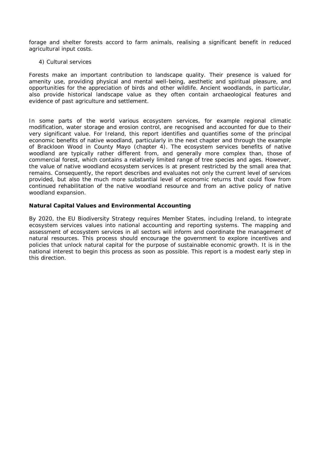forage and shelter forests accord to farm animals, realising a significant benefit in reduced agricultural input costs.

#### 4) Cultural services

Forests make an important contribution to landscape quality. Their presence is valued for amenity use, providing physical and mental well-being, aesthetic and spiritual pleasure, and opportunities for the appreciation of birds and other wildlife. Ancient woodlands, in particular, also provide historical landscape value as they often contain archaeological features and evidence of past agriculture and settlement.

In some parts of the world various ecosystem services, for example regional climatic modification, water storage and erosion control, are recognised and accounted for due to their very significant value. For Ireland, this report identifies and quantifies some of the principal economic benefits of native woodland, particularly in the next chapter and through the example of Brackloon Wood in County Mayo (chapter 4). The ecosystem services benefits of native woodland are typically rather different from, and generally more complex than, those of commercial forest, which contains a relatively limited range of tree species and ages. However, the value of native woodland ecosystem services is at present restricted by the small area that remains. Consequently, the report describes and evaluates not only the current level of services provided, but also the much more substantial level of economic returns that could flow from continued rehabilitation of the native woodland resource and from an active policy of native woodland expansion.

#### **Natural Capital Values and Environmental Accounting**

By 2020, the EU Biodiversity Strategy requires Member States, including Ireland, to integrate ecosystem services values into national accounting and reporting systems. The mapping and assessment of ecosystem services in all sectors will inform and coordinate the management of natural resources. This process should encourage the government to explore incentives and policies that unlock natural capital for the purpose of sustainable economic growth. It is in the national interest to begin this process as soon as possible. This report is a modest early step in this direction.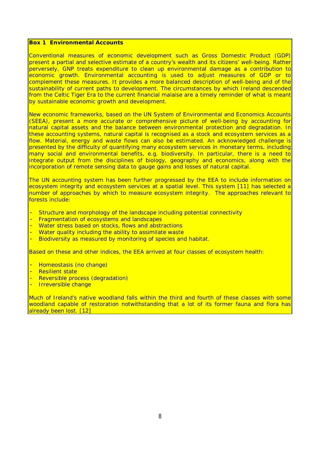#### **Box 1 Environmental Accounts**

Conventional measures of economic development such as Gross Domestic Product (GDP) present a partial and selective estimate of a country's wealth and its citizens' well-being. Rather perversely, GNP treats expenditure to clean up environmental damage as a contribution to economic growth. Environmental accounting is used to adjust measures of GDP or to complement these measures. It provides a more balanced description of well-being and of the sustainability of current paths to development. The circumstances by which Ireland descended from the Celtic Tiger Era to the current financial malaise are a timely reminder of what is meant by sustainable economic growth and development.

New economic frameworks, based on the UN System of Environmental and Economics Accounts (SEEA), present a more accurate or comprehensive picture of well-being by accounting for natural capital assets and the balance between environmental protection and degradation. In these accounting systems, natural capital is recognised as a stock and ecosystem services as a flow. Material, energy and waste flows can also be estimated. An acknowledged challenge is presented by the difficulty of quantifying many ecosystem services in monetary terms, including many social and environmental benefits, e.g. biodiversity. In particular, there is a need to integrate output from the disciplines of biology, geography and economics, along with the incorporation of remote sensing data to gauge gains and losses of natural capital.

The UN accounting system has been further progressed by the EEA to include information on ecosystem integrity and ecosystem services at a spatial level. This system [11] has selected a number of approaches by which to measure ecosystem integrity. The approaches relevant to forests include:

- Structure and morphology of the landscape including potential connectivity
- Fragmentation of ecosystems and landscapes
- Water stress based on stocks, flows and abstractions
- Water quality including the ability to assimilate waste
- Biodiversity as measured by monitoring of species and habitat.

Based on these and other indices, the EEA arrived at four classes of ecosystem health:

- Homeostasis (no change)
- **Resilient state**
- Reversible process (degradation)
- Irreversible change

Much of Ireland's native woodland falls within the third and fourth of these classes with some woodland capable of restoration notwithstanding that a lot of its former fauna and flora has already been lost. [12]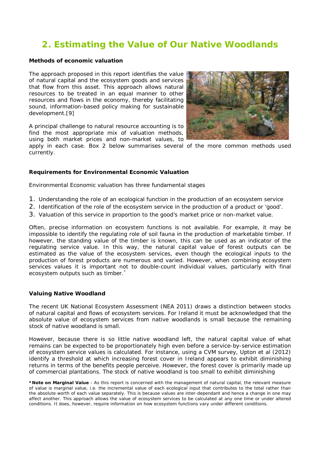# **2. Estimating the Value of Our Native Woodlands**

#### **Methods of economic valuation**

The approach proposed in this report identifies the value of natural capital and the ecosystem goods and services that flow from this asset. This approach allows natural resources to be treated in an equal manner to other resources and flows in the economy, thereby facilitating sound, information-based policy making for sustainable development.[9]

A principal challenge to natural resource accounting is to find the most appropriate mix of valuation methods, using both market prices and non-market values, to



apply in each case. Box 2 below summarises several of the more common methods used currently.

#### **Requirements for Environmental Economic Valuation**

Environmental Economic valuation has three fundamental stages

- 1. Understanding the role of an ecological function in the production of an ecosystem service
- 2. Identification of the role of the ecosystem service in the production of a product or 'good'.
- 3. Valuation of this service in proportion to the good's market price or non-market value.

Often, precise information on ecosystem functions is not available. For example, it may be impossible to identify the regulating role of soil fauna in the production of marketable timber. If however, the standing value of the timber is known, this can be used as an indicator of the regulating service value. In this way, the natural capital value of forest outputs can be estimated as the value of the ecosystem services, even though the ecological inputs to the production of forest products are numerous and varied. However, when combining ecosystem services values it is important not to double-count individual values, particularly with final ecosystem outputs such as timber.

#### **Valuing Native Woodland**

The recent UK National Ecosystem Assessment (NEA 2011) draws a distinction between stocks of natural capital and flows of ecosystem services. For Ireland it must be acknowledged that the absolute value of ecosystem services from native woodlands is small because the remaining stock of native woodland is small.

However, because there is so little native woodland left, the natural capital value of what remains can be expected to be proportionately high even before a service-by-service estimation of ecosystem service values is calculated. For instance, using a CVM survey, Upton et al (2012) identify a threshold at which increasing forest cover in Ireland appears to exhibit diminishing returns in terms of the benefits people perceive. However, the forest cover is primarily made up of commercial plantations. The stock of native woodland is too small to exhibit diminishing

**<sup>\*</sup>Note on Marginal Value** - As this report is concerned with the management of natural capital, the relevant measure of value is *marginal value*, i.e. the incremental value of each ecological input that contributes to the total rather than the absolute worth of each value separately. This is because values are inter-dependant and hence a change in one may affect another. This approach allows the value of ecosystem services to be calculated at any one time or under altered conditions. It does, however, require information on how ecosystem functions vary under different conditions.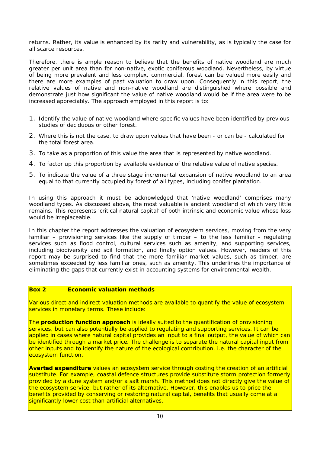returns. Rather, its value is enhanced by its rarity and vulnerability, as is typically the case for all scarce resources.

Therefore, there is ample reason to believe that the benefits of native woodland are much greater per unit area than for non-native, exotic coniferous woodland. Nevertheless, by virtue of being more prevalent and less complex, commercial, forest can be valued more easily and there are more examples of past valuation to draw upon. Consequently in this report, the relative values of native and non-native woodland are distinguished where possible and demonstrate just how significant the value of native woodland would be if the area were to be increased appreciably. The approach employed in this report is to:

- 1. Identify the value of native woodland where specific values have been identified by previous studies of deciduous or other forest.
- 2. Where this is not the case, to draw upon values that have been or can be calculated for the total forest area.
- 3. To take as a proportion of this value the area that is represented by native woodland.
- 4. To factor up this proportion by available evidence of the relative value of native species.
- 5. To indicate the value of a three stage incremental expansion of native woodland to an area equal to that currently occupied by forest of all types, including conifer plantation.

In using this approach it must be acknowledged that 'native woodland' comprises many woodland types. As discussed above, the most valuable is ancient woodland of which very little remains. This represents 'critical natural capital' of both intrinsic and economic value whose loss would be irreplaceable.

In this chapter the report addresses the valuation of ecosystem services, moving from the very familiar – provisioning services like the supply of timber – to the less familiar - regulating services such as flood control, cultural services such as amenity, and supporting services, including biodiversity and soil formation, and finally option values. However, readers of this report may be surprised to find that the more familiar market values, such as timber, are sometimes exceeded by less familiar ones, such as amenity. This underlines the importance of eliminating the gaps that currently exist in accounting systems for environmental wealth.

#### **Box 2 Economic valuation methods**

Various direct and indirect valuation methods are available to quantify the value of ecosystem services in monetary terms. These include:

The **production function approach** is ideally suited to the quantification of provisioning services, but can also potentially be applied to regulating and supporting services. It can be applied in cases where natural capital provides an input to a final output, the value of which can be identified through a market price. The challenge is to separate the natural capital input from other inputs and to identify the nature of the ecological contribution, i.e. the character of the ecosystem function.

**Averted expenditure** values an ecosystem service through costing the creation of an artificial substitute. For example, coastal defence structures provide substitute storm protection formerly provided by a dune system and/or a salt marsh. This method does not directly give the value of the ecosystem service, but rather of its alternative. However, this enables us to price the benefits provided by conserving or restoring natural capital, benefits that usually come at a significantly lower cost than artificial alternatives.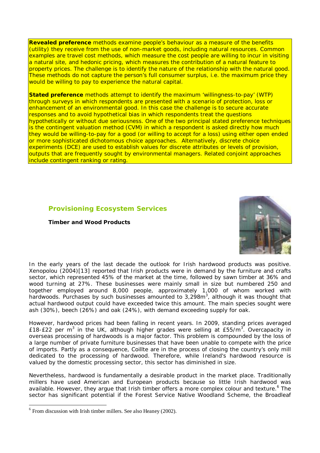**Revealed preference** methods examine people's behaviour as a measure of the benefits (utility) they receive from the use of non-market goods, including natural resources. Common examples are travel cost methods, which measure the cost people are willing to incur in visiting a natural site, and hedonic pricing, which measures the contribution of a natural feature to property prices. The challenge is to identify the nature of the relationship with the natural good. These methods do not capture the person's full consumer surplus, i.e. the maximum price they would be willing to pay to experience the natural capital.

**Stated preference** methods attempt to identify the maximum 'willingness-to-pay' (WTP) through surveys in which respondents are presented with a scenario of protection, loss or enhancement of an environmental good. In this case the challenge is to secure accurate responses and to avoid hypothetical bias in which respondents treat the questions hypothetically or without due seriousness. One of the two principal stated preference techniques is the contingent valuation method (CVM) in which a respondent is asked directly how much they would be willing-to-pay for a good (or willing to accept for a loss) using either open ended or more sophisticated dichotomous choice approaches. Alternatively, discrete choice experiments (DCE) are used to establish values for discrete attributes or levels of provision, outputs that are frequently sought by environmental managers. Related conjoint approaches include contingent ranking or rating.

#### **Provisioning Ecosystem Services**

#### **Timber and Wood Products**



In the early years of the last decade the outlook for Irish hardwood products was positive. Xenopolou (2004)[13] reported that Irish products were in demand by the furniture and crafts sector, which represented 45% of the market at the time, followed by sawn timber at 36% and wood turning at 27%. These businesses were mainly small in size but numbered 250 and together employed around 8,000 people, approximately 1,000 of whom worked with hardwoods. Purchases by such businesses amounted to 3,298m<sup>3</sup>, although it was thought that actual hardwood output could have exceeded twice this amount. The main species sought were ash (30%), beech (26%) and oak (24%), with demand exceeding supply for oak.

However, hardwood prices had been falling in recent years. In 2009, standing prices averaged £18-£22 per m<sup>3</sup> in the UK, although higher grades were selling at £55/m<sup>3</sup>. Overcapacity in overseas processing of hardwoods is a major factor. This problem is compounded by the loss of a large number of private furniture businesses that have been unable to compete with the price of imports. Partly as a consequence, Coillte are in the process of closing the country's only mill dedicated to the processing of hardwood. Therefore, while Ireland's hardwood resource is valued by the domestic processing sector, this sector has diminished in size.

Nevertheless, hardwood is fundamentally a desirable product in the market place. Traditionally millers have used American and European products because so little Irish hardwood was available. However, they argue that Irish timber offers a more complex colour and texture.<sup>6</sup> The sector has significant potential if the Forest Service Native Woodland Scheme, the Broadleaf

 $\overline{a}$ 

 $6$  From discussion with Irish timber millers. See also Heaney (2002).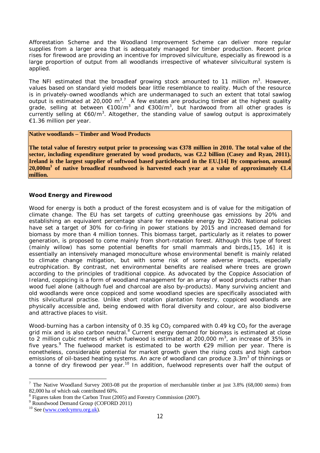Afforestation Scheme and the Woodland Improvement Scheme can deliver more regular supplies from a larger area that is adequately managed for timber production. Recent price rises for firewood are providing an incentive for improved silviculture, especially as firewood is a large proportion of output from all woodlands irrespective of whatever silvicultural system is applied.

The NFI estimated that the broadleaf growing stock amounted to 11 million  $m^3$ . However, values based on standard yield models bear little resemblance to reality. Much of the resource is in privately-owned woodlands which are undermanaged to such an extent that total sawlog output is estimated at 20,000 m<sup>3,7</sup> A few estates are producing timber at the highest quality grade, selling at between  $\epsilon$ 100/m<sup>3</sup> and  $\epsilon$ 300/m<sup>3</sup>, but hardwood from all other grades is currently selling at  $\epsilon$ 60/m<sup>3</sup>. Altogether, the standing value of sawlog output is approximately €1.36 million per year.

#### **Native woodlands – Timber and Wood Products**

**The total value of forestry output prior to processing was €378 million in 2010. The total value of the sector, including expenditure generated by wood products, was €2.2 billion (Casey and Ryan, 2011). Ireland is the largest supplier of softwood based particleboard in the EU.[14] By comparison, around 20,000m<sup>3</sup> of native broadleaf roundwood is harvested each year at a value of approximately €1.4 million.** 

#### **Wood Energy and Firewood**

Wood for energy is both a product of the forest ecosystem and is of value for the mitigation of climate change. The EU has set targets of cutting greenhouse gas emissions by 20% and establishing an equivalent percentage share for renewable energy by 2020. National policies have set a target of 30% for co-firing in power stations by 2015 and increased demand for biomass by more than 4 million tonnes. This biomass target, particularly as it relates to power generation, is proposed to come mainly from short-rotation forest. Although this type of forest (mainly willow) has some potential benefits for small mammals and birds,[15, 16] it is essentially an intensively managed monoculture whose environmental benefit is mainly related to climate change mitigation, but with some risk of some adverse impacts, especially eutrophication. By contrast, net environmental benefits are realised where trees are grown according to the principles of traditional coppice. As advocated by the Coppice Association of Ireland, coppicing is a form of woodland management for an array of wood products rather than wood fuel alone (although fuel and charcoal are also by-products). Many surviving ancient and old woodlands were once coppiced and some woodland species are specifically associated with this silvicultural practise. Unlike short rotation plantation forestry, coppiced woodlands are physically accessible and, being endowed with floral diversity and colour, are also biodiverse and attractive places to visit.

Wood-burning has a carbon intensity of 0.35 kg  $CO<sub>2</sub>$  compared with 0.49 kg  $CO<sub>2</sub>$  for the average grid mix and is also carbon neutral.<sup>8</sup> Current energy demand for biomass is estimated at close to 2 million cubic metres of which fuelwood is estimated at 200,000  $m^3$ , an increase of 35% in five years.<sup>9</sup> The fuelwood market is estimated to be worth  $E$ 29 million per year. There is nonetheless, considerable potential for market growth given the rising costs and high carbon emissions of oil-based heating systems. An acre of woodland can produce 3.3m<sup>3</sup> of thinnings or a tonne of dry firewood per year.<sup>10</sup> In addition, fuelwood represents over half the output of

 $\overline{a}$ 

 $7$  The Native Woodland Survey 2003-08 put the proportion of merchantable timber at just 3.8% (68,000 stems) from 82,000 ha of which oak contributed 60%.

 $8$  Figures taken from the Carbon Trust (2005) and Forestry Commission (2007).

<sup>9</sup> Roundwood Demand Group (COFORD 2011)

<sup>&</sup>lt;sup>10</sup> See (www.coedcymru.org.uk).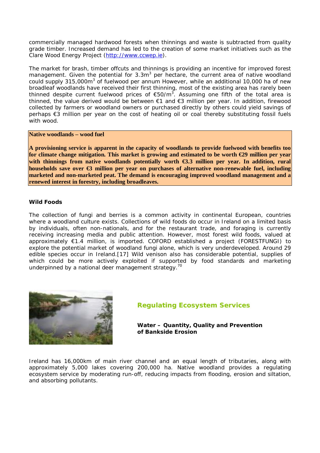commercially managed hardwood forests when thinnings and waste is subtracted from quality grade timber. Increased demand has led to the creation of some market initiatives such as the Clare Wood Energy Project (http://www.ccwep.ie).

The market for brash, timber offcuts and thinnings is providing an incentive for improved forest management. Given the potential for 3.3m<sup>3</sup> per hectare, the current area of native woodland could supply 315,000m<sup>3</sup> of fuelwood per annum However, while an additional 10,000 ha of new broadleaf woodlands have received their first thinning, most of the existing area has rarely been thinned despite current fuelwood prices of  $E$ 50/m<sup>3</sup>. Assuming one fifth of the total area is thinned, the value derived would be between €1 and €3 million per year. In addition, firewood collected by farmers or woodland owners or purchased directly by others could yield savings of perhaps €3 million per year on the cost of heating oil or coal thereby substituting fossil fuels with wood.

#### **Native woodlands – wood fuel**

**A provisioning service is apparent in the capacity of woodlands to provide fuelwood with benefits too for climate change mitigation. This market is growing and estimated to be worth €29 million per year with thinnings from native woodlands potentially worth €3.3 million per year. In addition, rural households save over €3 million per year on purchases of alternative non-renewable fuel, including marketed and non-marketed peat. The demand is encouraging improved woodland management and a renewed interest in forestry, including broadleaves.** 

#### **Wild Foods**

The collection of fungi and berries is a common activity in continental European, countries where a woodland culture exists. Collections of wild foods do occur in Ireland on a limited basis by individuals, often non-nationals, and for the restaurant trade, and foraging is currently receiving increasing media and public attention. However, most forest wild foods, valued at approximately €1.4 million, is imported. COFORD established a project (FORESTFUNGI) to explore the potential market of woodland fungi alone, which is very underdeveloped. Around 29 edible species occur in Ireland.[17] Wild venison also has considerable potential, supplies of which could be more actively exploited if supported by food standards and marketing underpinned by a national deer management strategy.<sup>70</sup>



### **Regulating Ecosystem Services**

**Water – Quantity, Quality and Prevention of Bankside Erosion**

Ireland has 16,000km of main river channel and an equal length of tributaries, along with approximately 5,000 lakes covering 200,000 ha. Native woodland provides a regulating ecosystem service by moderating run-off, reducing impacts from flooding, erosion and siltation, and absorbing pollutants.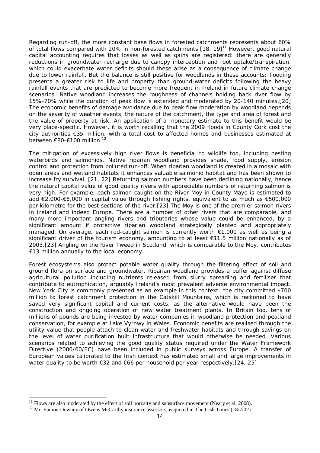Regarding run-off, the more constant base flows in forested catchments represents about 60% of total flows compared with 20% in non-forested catchments.[18, 19]<sup>11</sup> However, good natural capital accounting requires that losses as well as gains are registered: there are generally reductions in groundwater recharge due to canopy interception and root uptake/transpiration, which could exacerbate water deficits should these arise as a consequence of climate change due to lower rainfall. But the balance is still positive for woodlands in these accounts: flooding presents a greater risk to life and property than ground-water deficits following the heavy rainfall events that are predicted to become more frequent in Ireland in future climate change scenarios. Native woodland increases the *roughness* of channels holding back river flow by 15%-70% while the duration of peak flow is extended and moderated by 20-140 minutes.[20] The economic benefits of damage avoidance due to peak flow moderation by woodland depends on the severity of weather events, the nature of the catchment, the type and area of forest and the value of property at risk. An application of a monetary estimate to this benefit would be very place-specific. However, it is worth recalling that the 2009 floods in County Cork cost the city authorities €35 million, with a total cost to affected homes and businesses estimated at between €80-€100 million.<sup>12</sup>

The mitigation of excessively high river flows is beneficial to wildlife too, including nesting waterbirds and salmonids. Native riparian woodland provides shade, food supply, erosion control and protection from polluted run-off. When riparian woodland is created in a mosaic with open areas and wetland habitats it enhances valuable salmonid habitat and has been shown to increase fry survival. [21, 22] Returning salmon numbers have been declining nationally, hence the natural capital value of good quality rivers with appreciable numbers of returning salmon is very high. For example, each salmon caught on the River Moy in County Mayo is estimated to add €2,000-€8,000 in capital value through fishing rights, equivalent to as much as €500,000 per kilometre for the best sections of the river.[23] The Moy is one of the premier salmon rivers in Ireland and indeed Europe. There are a number of other rivers that are comparable, and many more important angling rivers and tributaries whose value could be enhanced, by a significant amount if protective riparian woodland strategically planted and appropriately managed. On average, each rod-caught salmon is currently worth €1,000 as well as being a significant driver of the tourism economy, amounting to at least €11.5 million nationally as of 2003.[23] Angling on the River Tweed in Scotland, which is comparable to the Moy, contributes £13 million annually to the local economy.

Forest ecosystems also protect potable water quality through the filtering effect of soil and ground flora on surface and groundwater. Riparian woodland provides a buffer against diffuse agricultural pollution including nutrients released from slurry spreading and fertiliser that contribute to eutrophication, arguably Ireland's most prevalent adverse environmental impact. New York City is commonly presented as an example in this context: the city committed \$700 million to forest catchment protection in the Catskill Mountains, which is reckoned to have saved very significant capital and current costs, as the alternative would have been the construction and ongoing operation of new water treatment plants. In Britain too, tens of millions of pounds are being invested by water companies in woodland protection and peatland conservation, for example at Lake Vyrnwy in Wales. Economic benefits are realised through the utility value that people attach to clean water and freshwater habitats and through savings on the level of water purification built infrastructure that would otherwise be needed. Various scenarios related to achieving the good quality status required under the Water Framework Directive (2000/60/EC) have been included in public surveys across Europe. A transfer of European values calibrated to the Irish context has estimated small and large improvements in water quality to be worth €32 and €66 per household per year respectively.[24, 25]

 $\overline{a}$ 

 $11$  Flows are also moderated by the effect of soil porosity and subsurface movement (Neary et al, 2008).

 $12$  Mr. Eamon Downey of Owens McCarthy insurance assessors as quoted in The Irish Times (18/7/02)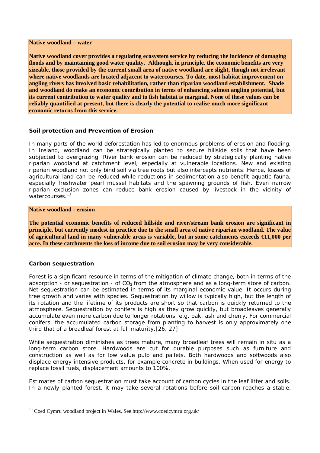#### **Native woodland – water**

**Native woodland cover provides a regulating ecosystem service by reducing the incidence of damaging floods and by maintaining good water quality. Although, in principle, the economic benefits are very sizeable, those provided by the current small area of native woodland are slight, though not irrelevant where native woodlands are located adjacent to watercourses. To date, most habitat improvement on angling rivers has involved basic rehabilitation, rather than riparian woodland establishment. Shade and woodland do make an economic contribution in terms of enhancing salmon angling potential, but its current contribution to water quality and to fish habitat is marginal. None of these values can be reliably quantified at present, but there is clearly the potential to realise much more significant economic returns from this service.**

#### **Soil protection and Prevention of Erosion**

In many parts of the world deforestation has led to enormous problems of erosion and flooding. In Ireland, woodland can be strategically planted to secure hillside soils that have been subjected to overgrazing. River bank erosion can be reduced by strategically planting native riparian woodland at catchment level, especially at vulnerable locations. New and existing riparian woodland not only bind soil via tree roots but also intercepts nutrients. Hence, losses of agricultural land can be reduced while reductions in sedimentation also benefit aquatic fauna, especially freshwater pearl mussel habitats and the spawning grounds of fish. Even narrow riparian exclusion zones can reduce bank erosion caused by livestock in the vicinity of watercourses.<sup>13</sup>

#### **Native woodland - erosion**

**The potential economic benefits of reduced hillside and river/stream bank erosion are significant in principle, but currently modest in practice due to the small area of native riparian woodland. The value of agricultural land in many vulnerable areas is variable, but in some catchments exceeds €11,000 per acre. In these catchments the loss of income due to soil erosion may be very considerable.** 

#### **Carbon sequestration**

Forest is a significant resource in terms of the mitigation of climate change, both in terms of the absorption - or sequestration - of  $CO<sub>2</sub>$  from the atmosphere and as a long-term store of carbon. Net sequestration can be estimated in terms of its marginal economic value. It occurs during tree growth and varies with species. Sequestration by willow is typically high, but the length of its rotation and the lifetime of its products are short so that carbon is quickly returned to the atmosphere. Sequestration by conifers is high as they grow quickly, but broadleaves generally accumulate even more carbon due to longer rotations, e.g. oak, ash and cherry. For commercial conifers, the accumulated carbon storage from planting to harvest is only approximately one third that of a broadleaf forest at full maturity.[26, 27]

While sequestration diminishes as trees mature, many broadleaf trees will remain in situ as a long-term carbon store. Hardwoods are cut for durable purposes such as furniture and construction as well as for low value pulp and pallets. Both hardwoods and softwoods also displace energy intensive products, for example concrete in buildings. When used for energy to replace fossil fuels, displacement amounts to 100%.

Estimates of carbon sequestration must take account of carbon cycles in the leaf litter and soils. In a newly planted forest, it may take several rotations before soil carbon reaches a stable,

 $\overline{a}$ <sup>13</sup> Coed Cymru woodland project in Wales. See http://www.coedcymru.org.uk/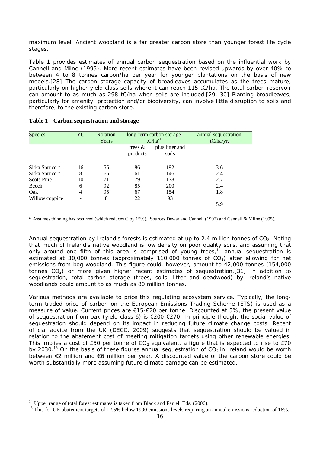maximum level. Ancient woodland is a far greater carbon store than younger forest life cycle stages.

Table 1 provides estimates of annual carbon sequestration based on the influential work by Cannell and Milne (1995). More recent estimates have been revised upwards by over 40% to between 4 to 8 tonnes carbon/ha per year for younger plantations on the basis of new models.[28] The carbon storage capacity of broadleaves accumulates as the trees mature, particularly on higher yield class soils where it can reach 115 tC/ha. The total carbon reservoir can amount to as much as 298 tC/ha when soils are included.[29, 30] Planting broadleaves, particularly for amenity, protection and/or biodiversity, can involve little disruption to soils and therefore, to the existing carbon store.

| <b>Species</b>                      | YC                  | Rotation<br>Years | long-term carbon storage<br>$tC/ha^{-1}$ |                          | annual sequestration<br>tC/ha/yr. |
|-------------------------------------|---------------------|-------------------|------------------------------------------|--------------------------|-----------------------------------|
|                                     |                     |                   | trees $\&$<br>products                   | plus litter and<br>soils |                                   |
| Sitka Spruce *                      | 16                  | 55                | 86                                       | 192                      | 3.6                               |
| Sitka Spruce *<br><b>Scots Pine</b> | 8<br>10             | 65<br>71          | 61<br>79                                 | 146<br>178               | 2.4<br>2.7                        |
| Beech<br>Oak                        | 6<br>$\overline{4}$ | 92<br>95          | 85<br>67                                 | 200<br>154               | 2.4<br>1.8                        |
| Willow coppice                      | -                   | 8                 | 22                                       | 93                       | 5.9                               |

#### **Table 1 Carbon sequestration and storage**

\* Assumes thinning has occurred (which reduces C by 15%). Sources Dewar and Cannell (1992) and Cannell & Milne (1995).

Annual sequestration by Ireland's forests is estimated at up to 2.4 million tonnes of  $CO<sub>2</sub>$ . Noting that much of Ireland's native woodland is low density on poor quality soils, and assuming that only around one fifth of this area is comprised of young trees,<sup>14</sup> annual sequestration is estimated at 30,000 tonnes (approximately 110,000 tonnes of  $CO<sub>2</sub>$ ) after allowing for net emissions from bog woodland. This figure could, however, amount to 42,000 tonnes (154,000 tonnes  $CO<sub>2</sub>$ ) or more given higher recent estimates of sequestration.[31] In addition to sequestration, total carbon storage (trees, soils, litter and deadwood) by Ireland's native woodlands could amount to as much as 80 million tonnes.

Various methods are available to price this regulating ecosystem service. Typically, the longterm traded price of carbon on the European Emissions Trading Scheme (ETS) is used as a measure of value. Current prices are €15-€20 per tonne. Discounted at 5%, the present value of sequestration from oak (yield class 6) is €200-€270. In principle though, the social value of sequestration should depend on its impact in reducing future climate change costs. Recent official advice from the UK (DECC, 2009) suggests that sequestration should be valued in relation to the abatement cost of meeting mitigation targets using other renewable energies. This implies a cost of £50 per tonne of  $CO<sub>2</sub>$  equivalent, a figure that is expected to rise to £70 by 2030.<sup>15</sup> On the basis of these figures annual sequestration of  $CO<sub>2</sub>$  in Ireland would be worth between €2 million and €6 million per year. A discounted value of the carbon store could be worth substantially more assuming future climate damage can be estimated.

 $\overline{a}$ 

<sup>14</sup> Upper range of total forest estimates is taken from Black and Farrell Eds. (2006).

<sup>&</sup>lt;sup>15</sup> This for UK abatement targets of 12.5% below 1990 emissions levels requiring an annual emissions reduction of 16%.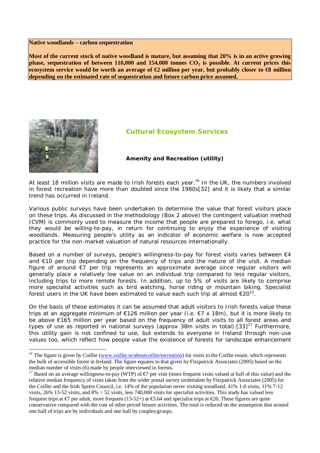#### **Native woodlands – carbon sequestration**

**Most of the current stock of native woodland is mature, but assuming that 20% is in an active growing phase, sequestration of between 110,000 and 154,000 tonnes CO<sup>2</sup> is possible. At current prices this ecosystem service would be worth an average of €2 million per year, but probably closer to €8 million depending on the estimated rate of sequestration and future carbon price assumed.**



 $\overline{a}$ 

### **Cultural Ecosystem Services**

#### **Amenity and Recreation (utility)**

At least 18 million visits are made to Irish forests each year.<sup>16</sup> In the UK, the numbers involved in forest recreation have more than doubled since the 1980s[32] and it is likely that a similar trend has occurred in Ireland.

Various public surveys have been undertaken to determine the value that forest visitors place on these trips. As discussed in the methodology (Box 2 above) the contingent valuation method (CVM) is commonly used to measure the income that people are prepared to forego, i.e. what they would be willing-to-pay, in return for continuing to enjoy the experience of visiting woodlands. Measuring people's utility as an indicator of economic welfare is now accepted practice for the non-market valuation of natural resources internationally.

Based on a number of surveys, people's willingness-to-pay for forest visits varies between  $\epsilon$ 4 and €10 per trip depending on the frequency of trips and the nature of the visit. A median figure of around €7 per trip represents an approximate average since regular visitors will generally place a relatively low value on an individual trip compared to less regular visitors, including trips to more remote forests. In addition, up to 5% of visits are likely to comprise more specialist activities such as bird watching, horse riding or mountain biking. Specialist forest users in the UK have been estimated to value each such trip at almost  $\epsilon$ 20<sup>12</sup>.

On the basis of these estimates it can be assumed that adult visitors to Irish forests value these trips at an aggregate minimum of €126 million per year (i.e. €7 x 18m), but it is more likely to be above €165 million per year based on the frequency of adult visits to *all* forest areas and types of use as reported in national surveys (approx 38m visits in total). [33]<sup>17</sup> Furthermore, this utility gain is not confined to use, but extends to everyone in Ireland through non-use values too, which reflect how people value the existence of forests for landscape enhancement

<sup>&</sup>lt;sup>16</sup> The figure is given by Coillte (www.coillte.ie/aboutcoillte/recreation) for visits to the Coillte estate, which represents the bulk of accessible forest in Ireland. The figure equates to that given by Fitzpatrick Associates (2005) based on the median number of visits (6) made by people interviewed in forests.

<sup>&</sup>lt;sup>17</sup> Based on an average willingness-to-pay (WTP) of  $\epsilon$ 7 per visit (more frequent visits valued at half of this value) and the relative median frequency of visits taken from the wider postal survey undertaken by Fitzpatrick Associates (2005) for the Coillte and the Irish Sports Council, i.e. 14% of the population never visiting woodland, 41% 1-6 visits, 11% 7-12 visits,  $26\%$  13-52 visits, and  $8\% > 52$  visits, less 740,000 visits for specialist activities. This study has valued less frequent trips at  $\epsilon$ 7 per adult, more frequent (1352+) at  $\epsilon$ 3.64 and specialist trips at  $\epsilon$ 20. These figures are quite conservative compared with the cost of other priced leisure activities. The total is reduced on the assumption that around one half of trips are by individuals and one half by couples/groups.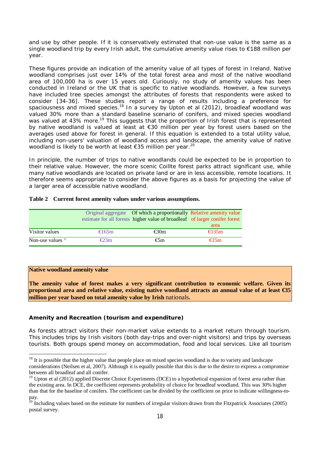and use by other people. If it is conservatively estimated that non-use value is the same as a single woodland trip by every Irish adult, the cumulative amenity value rises to €188 million per year.

These figures provide an indication of the amenity value of all types of forest in Ireland. Native woodland comprises just over 14% of the total forest area and most of the native woodland area of 100,000 ha is over 15 years old. Curiously, no study of amenity values has been conducted in Ireland or the UK that is specific to native woodlands. However, a few surveys have included tree species amongst the attributes of forests that respondents were asked to consider [34-36]. These studies report a range of results including a preference for spaciousness and mixed species.<sup>18</sup> In a survey by Upton et al (2012), broadleaf woodland was valued 30% more than a standard baseline scenario of conifers, and mixed species woodland was valued at 43% more.<sup>19</sup> This suggests that the proportion of Irish forest that is represented by native woodland is valued at least at €30 million per year by forest users based on the averages used above for forest in general. If this equation is extended to a total utility value, including non-users' valuation of woodland access and landscape, the amenity value of native woodland is likely to be worth at least €35 million per year.<sup>20</sup>

In principle, the number of trips to native woodlands could be expected to be in proportion to their relative value. However, the more scenic Coillte forest parks attract significant use, while many native woodlands are located on private land or are in less accessible, remote locations. It therefore seems appropriate to consider the above figures as a basis for projecting the value of a larger area of accessible native woodland.

| Table 2 Current forest amenity values under various assumptions. |  |  |  |  |  |  |  |
|------------------------------------------------------------------|--|--|--|--|--|--|--|
|------------------------------------------------------------------|--|--|--|--|--|--|--|

|                     |                 | Original aggregate Of which a proportionally Relative amenity value<br>estimate for all forests higher value of broadleaf of larger conifer forest |          |
|---------------------|-----------------|----------------------------------------------------------------------------------------------------------------------------------------------------|----------|
|                     |                 |                                                                                                                                                    | area     |
| Visitor values      | $\epsilon$ 165m | $\epsilon$ 30m                                                                                                                                     | $€135$ m |
| Non-use values $17$ | $\epsilon$ 23m  | $\epsilon$ 5m                                                                                                                                      | $€15$ m  |

#### **Native woodland amenity value**

 $\overline{a}$ 

**The amenity value of forest makes a very significant contribution to economic welfare. Given its proportional area and relative value, existing native woodland attracts an annual value of at least €35 million per year based on total amenity value by Irish** nationals**.** 

#### **Amenity and Recreation (tourism and expenditure)**

As forests attract visitors their non-market value extends to a market return through tourism. This includes trips by Irish visitors (both day-trips and over-night visitors) and trips by overseas tourists. Both groups spend money on accommodation, food and local services. Like all tourism

 $18$  It is possible that the higher value that people place on mixed species woodland is due to variety and landscape considerations (Neilsen et al, 2007). Although it is equally possible that this is due to the desire to express a compromise between all broadleaf and all conifer.

<sup>&</sup>lt;sup>19</sup> Upton et al (2012) applied Discrete Choice Experiments (DCE) to a hypothetical expansion of forest area rather than the existing area. In DCE, the coefficient represents probability of choice for broadleaf woodland. This was 30% higher than that for the baseline of conifers. The coefficient can be divided by the coefficient on price to indicate willingness-topay.

 $^{20}$  Including values based on the estimate for numbers of irregular visitors drawn from the Fitzpatrick Associates (2005) postal survey.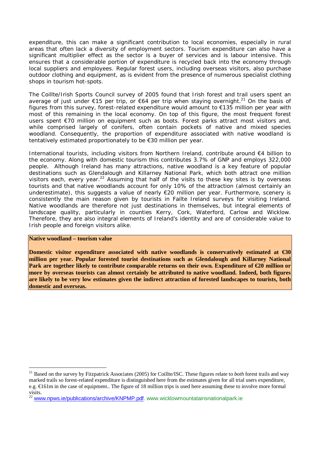expenditure, this can make a significant contribution to local economies, especially in rural areas that often lack a diversity of employment sectors. Tourism expenditure can also have a significant multiplier effect as the sector is a buyer of services and is labour intensive. This ensures that a considerable portion of expenditure is recycled back into the economy through local suppliers and employees. Regular forest users, including overseas visitors, also purchase outdoor clothing and equipment, as is evident from the presence of numerous specialist clothing shops in tourism hot-spots.

The Coillte/Irish Sports Council survey of 2005 found that Irish forest and trail users spent an average of just under  $\epsilon$ 15 per trip, or  $\epsilon$ 64 per trip when staying overnight.<sup>21</sup> On the basis of figures from this survey, forest-related expenditure would amount to €135 million per year with most of this remaining in the local economy. On top of this figure, the most frequent forest users spent €70 million on equipment such as boots. Forest parks attract most visitors and, while comprised largely of conifers, often contain pockets of native and mixed species woodland. Consequently, the proportion of expenditure associated with native woodland is tentatively estimated proportionately to be €30 million per year.

International tourists, including visitors from Northern Ireland, contribute around €4 billion to the economy. Along with domestic tourism this contributes 3.7% of GNP and employs 322,000 people. Although Ireland has many attractions, native woodland is a key feature of popular destinations such as Glendalough and Killarney National Park, which both attract one million visitors each, every year.<sup>22</sup> Assuming that half of the visits to these key sites is by overseas tourists and that native woodlands account for only 10% of the attraction (almost certainly an underestimate), this suggests a value of nearly €20 million per year. Furthermore, scenery is consistently the main reason given by tourists in Failte Ireland surveys for visiting Ireland. Native woodlands are therefore not just destinations in themselves, but integral elements of landscape quality, particularly in counties Kerry, Cork, Waterford, Carlow and Wicklow. Therefore, they are also integral elements of Ireland's identity and are of considerable value to Irish people and foreign visitors alike.

#### **Native woodland – tourism value**

 $\overline{a}$ 

**Domestic visitor expenditure associated with native woodlands is conservatively estimated at €30 million per year. Popular forested tourist destinations such as Glendalough and Killarney National Park are together likely to contribute comparable returns on their own. Expenditure of €20 million or more by overseas tourists can almost certainly be attributed to native woodland. Indeed, both figures are likely to be very low estimates given the indirect attraction of forested landscapes to tourists, both domestic and overseas.**

<sup>21</sup> Based on the survey by Fitzpatrick Associates (2005) for Coillte/ISC. These figures relate to *both* forest trails and way marked trails so forest-related expenditure is distinguished here from the estimates given for all trial users expenditure, e.g.  $\epsilon$ 161m in the case of equipment.. The figure of 18 million trips is used here assuming these to involve more formal visits.

<sup>&</sup>lt;sup>22</sup> www.npws.ie/publications/archive/KNPMP.pdf. www.wicklowmountatainsnationalpark.ie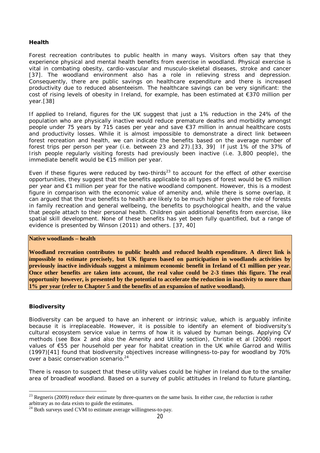#### **Health**

Forest recreation contributes to public health in many ways. Visitors often say that they experience physical and mental health benefits from exercise in woodland. Physical exercise is vital in combating obesity, cardio-vascular and musculo-skeletal diseases, stroke and cancer [37]. The woodland environment also has a role in relieving stress and depression. Consequently, there are public savings on healthcare expenditure and there is increased productivity due to reduced absenteeism. The healthcare savings can be very significant: the cost of rising levels of obesity in Ireland, for example, has been estimated at  $\epsilon$ 370 million per year.[38]

If applied to Ireland, figures for the UK suggest that just a 1% reduction in the 24% of the population who are physically inactive would reduce premature deaths and morbidity amongst people under 75 years by 715 cases per year and save €37 million in annual healthcare costs and productivity losses. While it is almost impossible to demonstrate a direct link between forest recreation and health, we can indicate the benefits based on the average number of forest trips per person per year (i.e. between 23 and 27).[33, 39] If just 1% of the 37% of Irish people regularly visiting forests had previously been inactive (i.e. 3,800 people), the immediate benefit would be €15 million per year.

Even if these figures were reduced by two-thirds<sup>23</sup> to account for the effect of other exercise opportunities, they suggest that the benefits applicable to all types of forest would be €5 million per year and €1 million per year for the native woodland component. However, this is a modest figure in comparison with the economic value of amenity and, while there is some overlap, it can argued that the true benefits to health are likely to be much higher given the role of forests in family recreation and general wellbeing, the benefits to psychological health, and the value that people attach to their personal health. Children gain additional benefits from exercise, like spatial skill development. None of these benefits has yet been fully quantified, but a range of evidence is presented by Winson (2011) and others. [37, 40]

#### **Native woodlands – health**

**Woodland recreation contributes to public health and reduced health expenditure. A direct link is impossible to estimate precisely, but UK figures based on participation in woodlands activities by previously inactive individuals suggest a minimum economic benefit in Ireland of €1 million per year. Once other benefits are taken into account, the real value could be 2-3 times this figure. The real opportunity however, is presented by the potential to accelerate the reduction in inactivity to more than 1% per year (refer to Chapter 5 and the benefits of an expansion of native woodland).** 

#### **Biodiversity**

Biodiversity can be argued to have an inherent or intrinsic value, which is arguably infinite because it is irreplaceable. However, it is possible to identify an element of biodiversity's cultural ecosystem service value in terms of how it is valued by human beings. Applying CV methods (see Box 2 and also the Amenity and Utility section), Christie et al (2006) report values of €55 per household per year for habitat creation in the UK while Garrod and Willis (1997)[41] found that biodiversity objectives increase willingness-to-pay for woodland by 70% over a basic conservation scenario.<sup>24</sup>

There is reason to suspect that these utility values could be higher in Ireland due to the smaller area of broadleaf woodland. Based on a survey of public attitudes in Ireland to future planting,

 $\overline{a}$ <sup>23</sup> Regneris (2009) reduce their estimate by three-quarters on the same basis. In either case, the reduction is rather arbitrary as no data exists to guide the estimates.

<sup>&</sup>lt;sup>24</sup> Both surveys used CVM to estimate average willingness-to-pay.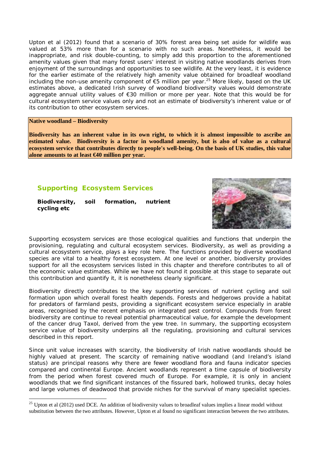Upton et al (2012) found that a scenario of 30% forest area being set aside for wildlife was valued at 53% more than for a scenario with no such areas. Nonetheless, it would be inappropriate, and risk double-counting, to simply add this proportion to the aforementioned amenity values given that many forest users' interest in visiting native woodlands derives from enjoyment of the surroundings and opportunities to see wildlife. At the very least, it is evidence for the earlier estimate of the relatively high amenity value obtained for broadleaf woodland including the non-use amenity component of  $\epsilon$ 5 million per year.<sup>25</sup> More likely, based on the UK estimates above, a dedicated Irish survey of woodland biodiversity values would demonstrate aggregate annual utility values of €30 million or more per year. Note that this would be for cultural ecosystem service values only and not an estimate of biodiversity's inherent value or of its contribution to other ecosystem services.

### **Native woodland – Biodiversity**

**Biodiversity has an inherent value in its own right, to which it is almost impossible to ascribe an estimated value. Biodiversity is a factor in woodland amenity, but is also of value as a cultural ecosystem service that contributes directly to people's well-being. On the basis of UK studies, this value alone amounts to at least €40 million per year.**

### **Supporting Ecosystem Services**

| Biodiversity, | soil | formation, | nutrient |
|---------------|------|------------|----------|
| cycling etc   |      |            |          |



Supporting ecosystem services are those ecological qualities and functions that underpin the provisioning, regulating and cultural ecosystem services. Biodiversity, as well as providing a cultural ecosystem service, plays a key role here. The functions provided by diverse woodland species are vital to a healthy forest ecosystem. At one level or another, biodiversity provides support for all the ecosystem services listed in this chapter and therefore contributes to all of the economic value estimates. While we have not found it possible at this stage to separate out this contribution and quantify it, it is nonetheless clearly significant.

Biodiversity directly contributes to the key supporting services of nutrient cycling and soil formation upon which overall forest health depends. Forests and hedgerows provide a habitat for predators of farmland pests, providing a significant ecosystem service especially in arable areas, recognised by the recent emphasis on integrated pest control. Compounds from forest biodiversity are continue to reveal potential pharmaceutical value, for example the development of the cancer drug Taxol, derived from the yew tree. In summary, the supporting ecosystem service value of biodiversity underpins all the regulating, provisioning and cultural services described in this report.

Since unit value increases with scarcity, the biodiversity of Irish native woodlands should be highly valued at present. The scarcity of remaining native woodland (and Ireland's island status) are principal reasons why there are fewer woodland flora and fauna indicator species compared and continental Europe. Ancient woodlands represent a time capsule of biodiversity from the period when forest covered much of Europe. For example, it is only in ancient woodlands that we find significant instances of the fissured bark, hollowed trunks, decay holes and large volumes of deadwood that provide niches for the survival of many specialist species.

 $\overline{a}$  $25$  Upton et al (2012) used DCE. An addition of biodiversity values to broadleaf values implies a linear model without substitution between the two attributes. However, Upton et al found no significant interaction between the two attributes.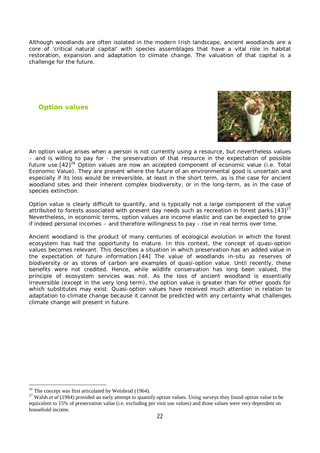Although woodlands are often isolated in the modern Irish landscape, ancient woodlands are a core of 'critical natural capital' with species assemblages that have a vital role in habitat restoration, expansion and adaptation to climate change. The valuation of that capital is a challenge for the future.

### **Option values**



An option value arises when a person is not currently using a resource, but nevertheless values – and is willing to pay for - the preservation of that resource in the expectation of possible future use.  $[42]^{26}$  Option values are now an accepted component of economic value (i.e. Total Economic Value). They are present where the future of an environmental good is uncertain and especially if its loss would be irreversible, at least in the short term, as is the case for ancient woodland sites and their inherent complex biodiversity, or in the long-term, as in the case of species extinction.

Option value is clearly difficult to quantify, and is typically not a large component of the value attributed to forests associated with present day needs such as recreation in forest parks. [43] $^{27}$ Nevertheless, in economic terms, option values are income elastic and can be expected to grow if indeed personal incomes – and therefore willingness to pay - rise in real terms over time.

Ancient woodland is the product of many centuries of ecological evolution in which the forest ecosystem has had the opportunity to mature. In this context, the concept of quasi-option values becomes relevant. This describes a situation in which preservation has an added value in the expectation of future information.[44] The value of woodlands in-situ as reserves of biodiversity or as stores of carbon are examples of quasi-option value. Until recently, these benefits were not credited. Hence, while wildlife conservation has long been valued, the principle of ecosystem services was not. As the loss of ancient woodland is essentially irreversible (except in the very long term), the option value is greater than for other goods for which substitutes may exist. Quasi-option values have received much attention in relation to adaptation to climate change because it cannot be predicted with any certainty what challenges climate change will present in future.

 $\overline{a}$ 

 $26$  The concept was first articulated by Weisbrod (1964).

<sup>&</sup>lt;sup>27</sup> Walsh *et al* (1984) provided an early attempt to quantify option values. Using surveys they found option value to be equivalent to 15% of preservation value (i.e. excluding per visit use values) and those values were very dependent on household income.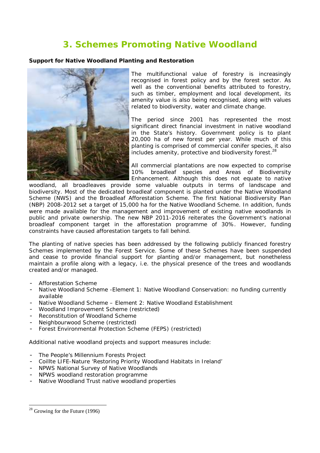# **3. Schemes Promoting Native Woodland**

#### **Support for Native Woodland Planting and Restoration**



The multifunctional value of forestry is increasingly recognised in forest policy and by the forest sector. As well as the conventional benefits attributed to forestry, such as timber, employment and local development, its amenity value is also being recognised, along with values related to biodiversity, water and climate change.

The period since 2001 has represented the most significant direct financial investment in native woodland in the State's history. Government policy is to plant 20,000 ha of new forest per year. While much of this planting is comprised of commercial conifer species, it also includes amenity, protective and biodiversity forest. $^{28}$ 

All commercial plantations are now expected to comprise 10% broadleaf species and Areas of Biodiversity Enhancement. Although this does not equate to native

woodland, all broadleaves provide some valuable outputs in terms of landscape and biodiversity. Most of the dedicated broadleaf component is planted under the Native Woodland Scheme (NWS) and the Broadleaf Afforestation Scheme. The first National Biodiversity Plan (NBP) 2008-2012 set a target of 15,000 ha for the Native Woodland Scheme. In addition, funds were made available for the management and improvement of existing native woodlands in public and private ownership. The new NBP 2011-2016 reiterates the Government's national broadleaf component target in the afforestation programme of 30%. However, funding constraints have caused afforestation targets to fall behind.

The planting of native species has been addressed by the following publicly financed forestry Schemes implemented by the Forest Service. Some of these Schemes have been suspended and cease to provide financial support for planting and/or management, but nonetheless maintain a profile along with a legacy, i.e. the physical presence of the trees and woodlands created and/or managed.

- Afforestation Scheme
- Native Woodland Scheme Element 1: Native Woodland Conservation: no funding currently available
- Native Woodland Scheme Element 2: Native Woodland Establishment
- Woodland Improvement Scheme (restricted)
- Reconstitution of Woodland Scheme
- Neighbourwood Scheme (restricted)
- Forest Environmental Protection Scheme (FEPS) (restricted)

Additional native woodland projects and support measures include:

- The People's Millennium Forests Project
- Coillte LIFE-Nature 'Restoring Priority Woodland Habitats in Ireland'
- NPWS National Survey of Native Woodlands
- NPWS woodland restoration programme
- Native Woodland Trust native woodland properties

 $\overline{a}$  $28$  Growing for the Future (1996)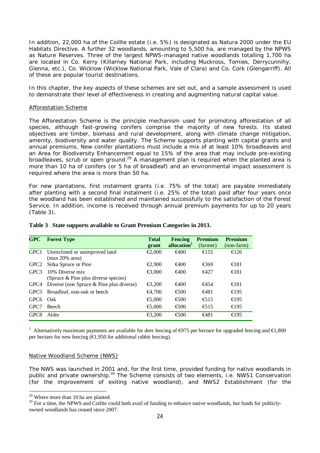In addition, 22,000 ha of the Coillte estate (i.e. 5%) is designated as Natura 2000 under the EU Habitats Directive. A further 32 woodlands, amounting to 5,500 ha, are managed by the NPWS as Nature Reserves. Three of the largest NPWS-managed native woodlands totalling 1,700 ha are located in Co. Kerry (Killarney National Park, including Muckross, Tomies, Derrycunnihy, Glenna, etc.), Co. Wicklow (Wicklow National Park, Vale of Clara) and Co. Cork (Glengarriff). All of these are popular tourist destinations.

In this chapter, the key aspects of these schemes are set out, and a sample assessment is used to demonstrate their level of effectiveness in creating and augmenting natural capital value.

#### Afforestation Scheme

The Afforestation Scheme is the principle mechanism used for promoting afforestation of all species, although fast-growing conifers comprise the majority of new forests. Its stated objectives are timber, biomass and rural development, along with climate change mitigation, amenity, biodiversity and water quality. The Scheme supports planting with capital grants and annual premiums. New conifer plantations must include a mix of at least 10% broadleaves and an Area for Biodiversity Enhancement equal to 15% of the area that may include pre-existing broadleaves, scrub or open ground.<sup>29</sup> A management plan is required when the planted area is more than 10 ha of conifers (or 5 ha of broadleaf) and an environmental impact assessment is required where the area is more than 50 ha.

For new plantations, first instalment grants (i.e. 75% of the total) are payable immediately after planting with a second final instalment (i.e. 25% of the total) paid after four years once the woodland has been established and maintained successfully to the satisfaction of the Forest Service. In addition, income is received through annual premium payments for up to 20 years (Table 3).

| GPC              | <b>Forest Type</b>                                      | <b>Total</b>                                    | <b>Fencing</b>                               | <b>Premium</b> | <b>Premium</b> |
|------------------|---------------------------------------------------------|-------------------------------------------------|----------------------------------------------|----------------|----------------|
|                  |                                                         | grant                                           | allocation <sup>1</sup>                      | (farmer)       | (non-farm)     |
| GPC <sub>1</sub> | Unenclosed or unimproved land<br>(max 20% area)         | $\epsilon$ 2.000                                | $\epsilon$ 400                               | $\epsilon$ 155 | $\epsilon$ 126 |
| GPC <sub>2</sub> | Sitka Spruce or Pine                                    | $\textcolor{red}{\textbf{\textsterling}}2.900$  | $\epsilon$ 400                               | $-6369$        | $\epsilon$ 181 |
| GPC3             | 10% Diverse mix<br>(Spruce & Pine plus diverse species) | $\epsilon$ 3,000                                | $\epsilon$ 400                               | $\epsilon$ 427 | $\epsilon$ 181 |
| GPC4             | Diverse (non Spruce & Pine plus diverse)                | $\textcolor{blue}{\textbf{\textsterling}}3,200$ | $\epsilon$ 400                               | $\epsilon$ 454 | $\epsilon$ 181 |
| GPC <sub>5</sub> | Broadleaf, non-oak or beech                             | €4.700                                          | $\epsilon$ 500                               | €481           | $\epsilon$ 19. |
| GPC <sub>6</sub> | Oak                                                     | $\textcolor{red}{\textbf{\textsterling}}5.000$  | $\epsilon$ 500                               | $\epsilon$ 51. | $\epsilon$ 19. |
| GPC7             | <b>Beech</b>                                            | $\textcolor{red}{\textbf{\textsterling}}5.000$  | $\epsilon$ 500                               | $\epsilon$ 51. | $\epsilon$ 19. |
| GPC <sub>8</sub> | Alder                                                   | $\textcolor{red}{\textbf{\textsterling}}3.200$  | $\textcolor{red}{\textbf{\textsterling}}500$ | €481           | $\epsilon$ 19. |

#### **Table 3 State supports available to Grant Premium Categories in 2013.**

<sup>1</sup> Alternatively maximum payments are available for deer fencing of  $\epsilon$ 975 per hectare for upgraded fencing and  $\epsilon$ 1,800 per hectare for new fencing ( $\epsilon$ 1,950 for additional rabbit fencing).

#### Native Woodland Scheme (NWS)

The NWS was launched in 2001 and, for the first time, provided funding for native woodlands in public and private ownership.<sup>30</sup> The Scheme consists of two elements, i.e. NWS1 Conservation (for the improvement of exiting native woodland), and NWS2 Establishment (for the

 $\overline{a}$ 

 $29$  Where more than 10 ha are planted.

 $30$  For a time, the NPWS and Coillte could both avail of funding to enhance native woodlands, but funds for publiclyowned woodlands has ceased since 2007.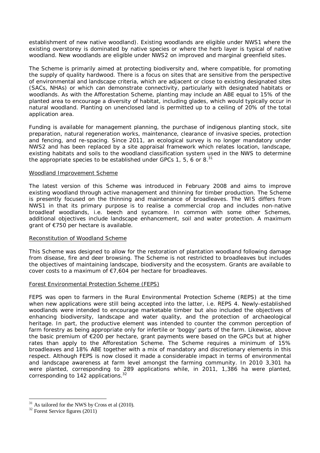establishment of new native woodland). Existing woodlands are eligible under NWS1 where the existing overstorey is dominated by native species or where the herb layer is typical of native woodland. New woodlands are eligible under NWS2 on improved and marginal greenfield sites.

The Scheme is primarily aimed at protecting biodiversity and, where compatible, for promoting the supply of quality hardwood. There is a focus on sites that are sensitive from the perspective of environmental and landscape criteria, which are adjacent or close to existing designated sites (SACs, NHAs) or which can demonstrate connectivity, particularly with designated habitats or woodlands. As with the Afforestation Scheme, planting may include an ABE equal to 15% of the planted area to encourage a diversity of habitat, including glades, which would typically occur in natural woodland. Planting on unenclosed land is permitted up to a ceiling of 20% of the total application area.

Funding is available for management planning, the purchase of indigenous planting stock, site preparation, natural regeneration works, maintenance, clearance of invasive species, protection and fencing, and re-spacing. Since 2011, an ecological survey is no longer mandatory under NWS2 and has been replaced by a site appraisal framework which relates location, landscape, existing habitats and soils to the woodland classification system used in the NWS to determine the appropriate species to be established under GPCs 1, 5, 6 or 8. $31$ 

#### Woodland Improvement Scheme

The latest version of this Scheme was introduced in February 2008 and aims to improve existing woodland through active management and thinning for timber production. The Scheme is presently focused on the thinning and maintenance of broadleaves. The WIS differs from NWS1 in that its primary purpose is to realise a commercial crop and includes non-native broadleaf woodlands, i.e. beech and sycamore. In common with some other Schemes, additional objectives include landscape enhancement, soil and water protection. A maximum grant of €750 per hectare is available.

#### Reconstitution of Woodland Scheme

This Scheme was designed to allow for the restoration of plantation woodland following damage from disease, fire and deer browsing. The Scheme is not restricted to broadleaves but includes the objectives of maintaining landscape, biodiversity and the ecosystem. Grants are available to cover costs to a maximum of €7,604 per hectare for broadleaves.

#### Forest Environmental Protection Scheme (FEPS)

FEPS was open to farmers in the Rural Environmental Protection Scheme (REPS) at the time when new applications were still being accepted into the latter, i.e. REPS 4. Newly-established woodlands were intended to encourage marketable timber but also included the objectives of enhancing biodiversity, landscape and water quality, and the protection of archaeological heritage. In part, the productive element was intended to counter the common perception of farm forestry as being appropriate only for infertile or 'boggy' parts of the farm. Likewise, above the basic premium of €200 per hectare, grant payments were based on the GPCs but at higher rates than apply to the Afforestation Scheme. The Scheme requires a minimum of 15% broadleaves and 18% ABE together with a mix of mandatory and discretionary elements in this respect. Although FEPS is now closed it made a considerable impact in terms of environmental and landscape awareness at farm level amongst the farming community. In 2010 3,301 ha were planted, corresponding to 289 applications while, in 2011, 1,386 ha were planted, corresponding to 142 applications.<sup>32</sup>

 $\overline{a}$ 

 $31$  As tailored for the NWS by Cross et al  $(2010)$ .

 $32$  Forest Service figures (2011)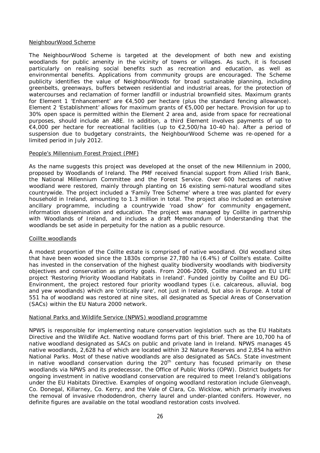#### NeighbourWood Scheme

The NeighbourWood Scheme is targeted at the development of both new and existing woodlands for public amenity in the vicinity of towns or villages. As such, it is focused particularly on realising social benefits such as recreation and education, as well as environmental benefits. Applications from community groups are encouraged. The Scheme publicity identifies the value of NeighbourWoods for broad sustainable planning, including greenbelts, greenways, buffers between residential and industrial areas, for the protection of watercourses and reclamation of former landfill or industrial brownfield sites. Maximum grants for Element 1 'Enhancement' are  $\epsilon$ 4,500 per hectare (plus the standard fencing allowance). Element 2 'Establishment' allows for maximum grants of €5,000 per hectare. Provision for up to 30% open space is permitted within the Element 2 area and, aside from space for recreational purposes, should include an ABE. In addition, a third Element involves payments of up to €4,000 per hectare for recreational facilities (up to €2,500/ha 10-40 ha). After a period of suspension due to budgetary constraints, the NeighbourWood Scheme was re-opened for a limited period in July 2012.

#### People's Millennium Forest Project (PMF)

As the name suggests this project was developed at the onset of the new Millennium in 2000, proposed by Woodlands of Ireland. The PMF received financial support from Allied Irish Bank, the National Millennium Committee and the Forest Service. Over 600 hectares of native woodland were restored, mainly through planting on 16 existing semi-natural woodland sites countrywide. The project included a 'Family Tree Scheme' where a tree was planted for every household in Ireland, amounting to 1.3 million in total. The project also included an extensive ancillary programme, including a countrywide 'road show' for community engagement, information dissemination and education. The project was managed by Coillte in partnership with Woodlands of Ireland, and includes a draft Memorandum of Understanding that the woodlands be set aside in perpetuity for the nation as a public resource.

#### Coillte woodlands

A modest proportion of the Coillte estate is comprised of native woodland. Old woodland sites that have been wooded since the 1830s comprise 27,780 ha (6.4%) of Coillte's estate. Coillte has invested in the conservation of the highest quality biodiversity woodlands with biodiversity objectives and conservation as priority goals. From 2006-2009, Coillte managed an EU LIFE project 'Restoring Priority Woodland Habitats in Ireland'. Funded jointly by Coillte and EU DG-Environment, the project restored four priority woodland types (i.e. calcareous, alluvial, bog and yew woodlands) which are 'critically rare', not just in Ireland, but also in Europe. A total of 551 ha of woodland was restored at nine sites, all designated as Special Areas of Conservation (SACs) within the EU Natura 2000 network.

#### National Parks and Wildlife Service (NPWS) woodland programme

NPWS is responsible for implementing nature conservation legislation such as the EU Habitats Directive and the Wildlife Act. Native woodland forms part of this brief. There are 10,700 ha of native woodland designated as SACs on public and private land in Ireland. NPWS manages 45 native woodlands, 2,628 ha of which are located within 32 Nature Reserves and 2,854 ha within National Parks. Most of these native woodlands are also designated as SACs. State investment in native woodland conservation during the  $20<sup>th</sup>$  century has focused primarily on these woodlands via NPWS and its predecessor, the Office of Public Works (OPW). District budgets for ongoing investment in native woodland conservation are required to meet Ireland's obligations under the EU Habitats Directive. Examples of ongoing woodland restoration include Glenveagh, Co. Donegal, Killarney, Co. Kerry, and the Vale of Clara, Co. Wicklow, which primarily involves the removal of invasive rhododendron, cherry laurel and under-planted conifers. However, no definite figures are available on the total woodland restoration costs involved.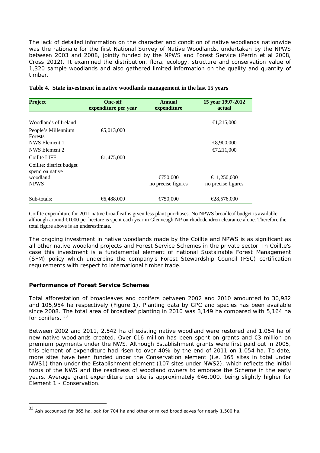The lack of detailed information on the character and condition of native woodlands nationwide was the rationale for the first National Survey of Native Woodlands, undertaken by the NPWS between 2003 and 2008, jointly funded by the NPWS and Forest Service (Perrin et al 2008, Cross 2012). It examined the distribution, flora, ecology, structure and conservation value of 1,320 sample woodlands and also gathered limited information on the quality and quantity of timber.

| <b>Project</b>                                                         | <b>One-off</b><br>expenditure per year | Annual<br>expenditure                    | 15 year 1997-2012<br>actual       |
|------------------------------------------------------------------------|----------------------------------------|------------------------------------------|-----------------------------------|
| Woodlands of Ireland<br>People's Millennium                            | €5,013,000                             |                                          | €1,215,000                        |
| <b>Forests</b><br>NWS Element 1<br>NWS Element 2                       |                                        |                                          | €8,900,000<br>€7,211,000          |
| Coillte LIFE                                                           | €1.475.00(                             |                                          |                                   |
| Coillte: district budget<br>spend on native<br>woodland<br><b>NPWS</b> |                                        | $\epsilon$ 750,000<br>no precise figures | €11,250,000<br>no precise figures |
| Sub-totals:                                                            | €6.488,000                             | €750,000                                 | €28,576,000                       |

Coillte expenditure for 2011 native broadleaf is given less plant purchases. No NPWS broadleaf budget is available, although around €1000 per hectare is spent each year in Glenveagh NP on rhododendron clearance alone. Therefore the total figure above is an underestimate.

The ongoing investment in native woodlands made by the Coillte and NPWS is as significant as all other native woodland projects and Forest Service Schemes in the private sector. In Coillte's case this investment is a fundamental element of national Sustainable Forest Management (SFM) policy which underpins the company's Forest Stewardship Council (FSC) certification requirements with respect to international timber trade.

#### **Performance of Forest Service Schemes**

 $\overline{a}$ 

Total afforestation of broadleaves and conifers between 2002 and 2010 amounted to 30,982 and 105,954 ha respectively (Figure 1). Planting data by GPC and species has been available since 2008. The total area of broadleaf planting in 2010 was 3,149 ha compared with 5,164 ha for conifers.<sup>33</sup>

Between 2002 and 2011, 2,542 ha of existing native woodland were restored and 1,054 ha of new native woodlands created. Over €16 million has been spent on grants and €3 million on premium payments under the NWS. Although Establishment grants were first paid out in 2005, this element of expenditure had risen to over 40% by the end of 2011 on 1,054 ha. To date, more sites have been funded under the Conservation element (i.e. 165 sites in total under NWS1) than under the Establishment element (107 sites under NWS2), which reflects the initial focus of the NWS and the readiness of woodland owners to embrace the Scheme in the early years. Average grant expenditure per site is approximately €46,000, being slightly higher for Element 1 - Conservation.

 $33$  Ash accounted for 865 ha, oak for 704 ha and other or mixed broadleaves for nearly 1,500 ha.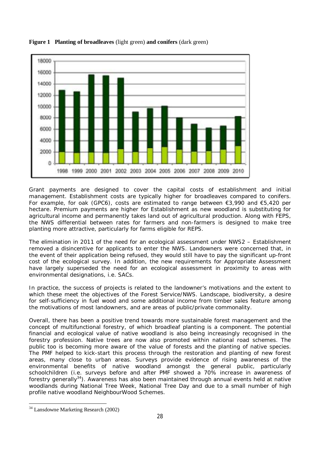

**Figure 1 Planting of broadleaves** (light green) **and conifers** (dark green)

Grant payments are designed to cover the capital costs of establishment and initial management. Establishment costs are typically higher for broadleaves compared to conifers. For example, for oak (GPC6), costs are estimated to range between €3,990 and €5,420 per hectare. Premium payments are higher for Establishment as new woodland is substituting for agricultural income and permanently takes land out of agricultural production. Along with FEPS, the NWS differential between rates for farmers and non-farmers is designed to make tree planting more attractive, particularly for farms eligible for REPS.

The elimination in 2011 of the need for an ecological assessment under NWS2 – Establishment removed a disincentive for applicants to enter the NWS. Landowners were concerned that, in the event of their application being refused, they would still have to pay the significant up-front cost of the ecological survey. In addition, the new requirements for Appropriate Assessment have largely superseded the need for an ecological assessment in proximity to areas with environmental designations, i.e. SACs.

In practice, the success of projects is related to the landowner's motivations and the extent to which these meet the objectives of the Forest Service/NWS. Landscape, biodiversity, a desire for self-sufficiency in fuel wood and some additional income from timber sales feature among the motivations of most landowners, and are areas of public/private commonality.

Overall, there has been a positive trend towards more sustainable forest management and the concept of multifunctional forestry, of which broadleaf planting is a component. The potential financial and ecological value of native woodland is also being increasingly recognised in the forestry profession. Native trees are now also promoted within national road schemes. The public too is becoming more aware of the value of forests and the planting of native species. The PMF helped to kick-start this process through the restoration and planting of new forest areas, many close to urban areas. Surveys provide evidence of rising awareness of the environmental benefits of native woodland amongst the general public, particularly schoolchildren (i.e. surveys before and after PMF showed a 70% increase in awareness of forestry generally<sup>34</sup>). Awareness has also been maintained through annual events held at native woodlands during National Tree Week, National Tree Day and due to a small number of high profile native woodland NeighbourWood Schemes.

 $\overline{a}$ 

<sup>&</sup>lt;sup>34</sup> Lansdowne Marketing Research (2002)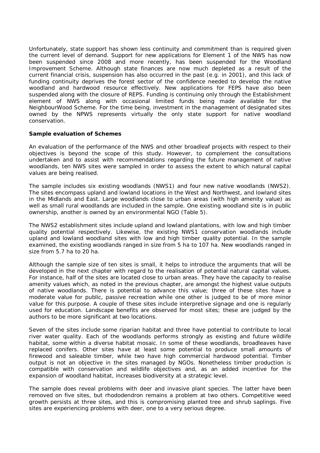Unfortunately, state support has shown less continuity and commitment than is required given the current level of demand. Support for new applications for Element 1 of the NWS has now been suspended since 2008 and more recently, has been suspended for the Woodland Improvement Scheme. Although state finances are now much depleted as a result of the current financial crisis, suspension has also occurred in the past (e.g. in 2001), and this lack of funding continuity deprives the forest sector of the confidence needed to develop the native woodland and hardwood resource effectively. New applications for FEPS have also been suspended along with the closure of REPS. Funding is continuing only through the Establishment element of NWS along with occasional limited funds being made available for the NeighbourWood Scheme. For the time being, investment in the management of designated sites owned by the NPWS represents virtually the only state support for native woodland conservation.

#### **Sample evaluation of Schemes**

An evaluation of the performance of the NWS and other broadleaf projects with respect to their objectives is beyond the scope of this study. However, to complement the consultations undertaken and to assist with recommendations regarding the future management of native woodlands, ten NWS sites were sampled in order to assess the extent to which natural capital values are being realised.

The sample includes six existing woodlands (NWS1) and four new native woodlands (NWS2). The sites encompass upland and lowland locations in the West and Northwest, and lowland sites in the Midlands and East. Large woodlands close to urban areas (with high amenity value) as well as small rural woodlands are included in the sample. One existing woodland site is in public ownership, another is owned by an environmental NGO (Table 5).

The NWS2 establishment sites include upland and lowland plantations, with low and high timber quality potential respectively. Likewise, the existing NWS1 conservation woodlands include upland and lowland woodland sites with low and high timber quality potential. In the sample examined, the existing woodlands ranged in size from 5 ha to 107 ha. New woodlands ranged in size from 5.7 ha to 20 ha.

Although the sample size of ten sites is small, it helps to introduce the arguments that will be developed in the next chapter with regard to the realisation of potential natural capital values. For instance, half of the sites are located close to urban areas. They have the capacity to realise amenity values which, as noted in the previous chapter, are amongst the highest value outputs of native woodlands. There is potential to advance this value; three of these sites have a moderate value for public, passive recreation while one other is judged to be of more minor value for this purpose. A couple of these sites include interpretive signage and one is regularly used for education. Landscape benefits are observed for most sites; these are judged by the authors to be more significant at two locations.

Seven of the sites include some riparian habitat and three have potential to contribute to local river water quality. Each of the woodlands performs strongly as existing and future wildlife habitat, some within a diverse habitat mosaic. In some of these woodlands, broadleaves have replaced conifers. Other sites have at least some potential to produce small amounts of firewood and saleable timber, while two have high commercial hardwood potential. Timber output is not an objective in the sites managed by NGOs. Nonetheless timber production is compatible with conservation and wildlife objectives and, as an added incentive for the expansion of woodland habitat, increases biodiversity at a strategic level.

The sample does reveal problems with deer and invasive plant species. The latter have been removed on five sites, but rhododendron remains a problem at two others. Competitive weed growth persists at three sites, and this is compromising planted tree and shrub saplings. Five sites are experiencing problems with deer, one to a very serious degree.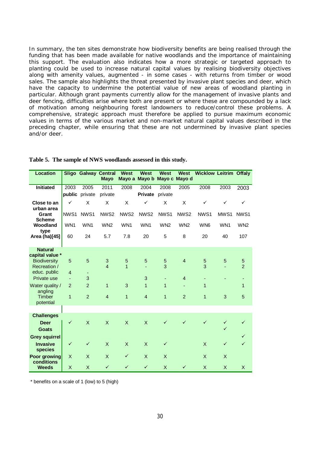In summary, the ten sites demonstrate how biodiversity benefits are being realised through the funding that has been made available for native woodlands and the importance of maintaining this support. The evaluation also indicates how a more strategic or targeted approach to planting could be used to increase natural capital values by realising biodiversity objectives along with amenity values, augmented - in some cases - with returns from timber or wood sales. The sample also highlights the threat presented by invasive plant species and deer, which have the capacity to undermine the potential value of new areas of woodland planting in particular. Although grant payments currently allow for the management of invasive plants and deer fencing, difficulties arise where both are present or where these are compounded by a lack of motivation among neighbouring forest landowners to reduce/control these problems. A comprehensive, strategic approach must therefore be applied to pursue maximum economic values in terms of the various market and non-market natural capital values described in the preceding chapter, while ensuring that these are not undermined by invasive plant species and/or deer.

| <b>Location</b>                                        |                | <b>Sligo Galway Central</b> | <b>Mayo</b>                  | <b>West</b><br>Mayo a            | <b>West</b><br>Mayo b     | <b>West</b><br>Mayo c Mayo d | <b>West</b>              | <b>Wicklow Leitrim Offaly</b> |                              |                     |
|--------------------------------------------------------|----------------|-----------------------------|------------------------------|----------------------------------|---------------------------|------------------------------|--------------------------|-------------------------------|------------------------------|---------------------|
| Initiated                                              | 2003           | 2005                        | 2011                         | 2008                             | 2004                      | 2008                         | 2005                     | 2008                          | 2003                         | 2003                |
|                                                        |                | public private              | private                      |                                  | Private                   | private                      |                          |                               |                              |                     |
| Close to an<br>urban area                              | ✓              | X                           | X                            | X                                | $\checkmark$              | X                            | X                        | ✓                             | $\checkmark$                 | $\checkmark$        |
| Grant<br><b>Scheme</b>                                 | NWS1           | NWS1                        | NWS <sub>2</sub>             | NWS <sub>2</sub>                 | NWS <sub>2</sub>          | NWS1                         | NWS <sub>2</sub>         | NWS1                          | MWS1                         | NWS <sub>1</sub>    |
| Woodland<br>type                                       | WN1            | WN1                         | WN <sub>2</sub>              | WN1                              | WN1                       | WN <sub>2</sub>              | WN <sub>2</sub>          | WN <sub>6</sub>               | WN1                          | WN <sub>2</sub>     |
| Area (ha)[45]                                          | 60             | 24                          | 5.7                          | 7.8                              | 20                        | 5                            | 8                        | 20                            | 40                           | 107                 |
| <b>Natural</b>                                         |                |                             |                              |                                  |                           |                              |                          |                               |                              |                     |
| capital value *<br><b>Biodiversity</b><br>Recreation / | 5              | 5                           | $\sqrt{3}$<br>$\overline{4}$ | $\overline{5}$<br>$\overline{1}$ | 5                         | 5<br>3                       | $\overline{4}$           | $\overline{5}$<br>3           | 5                            | 5<br>$\overline{2}$ |
| educ. public<br>Private use                            | $\overline{4}$ | 3                           |                              |                                  | 3                         | Ξ                            | $\overline{4}$           |                               |                              |                     |
| Water quality /<br>angling                             | 2              | $\overline{2}$              | $\mathbf{1}$                 | 3                                | $\mathbf{1}$              | $\mathbf{1}$                 | $\overline{\phantom{a}}$ | $\overline{1}$                |                              | 1                   |
| <b>Timber</b><br>potential                             | 1              | $\overline{2}$              | $\overline{4}$               | $\overline{1}$                   | $\overline{4}$            | $\mathbf{1}$                 | $\overline{2}$           | $\overline{1}$                | 3                            | 5                   |
| <b>Challenges</b>                                      |                |                             |                              |                                  |                           |                              |                          |                               |                              |                     |
| <b>Deer</b><br><b>Goats</b>                            | $\checkmark$   | $\times$                    | $\mathsf{X}$                 | $\mathsf{X}$                     | $\mathsf{X}$              | ✓                            | ✓                        | $\checkmark$                  | $\checkmark$<br>$\checkmark$ | $\checkmark$        |
| <b>Grey squirrel</b>                                   |                |                             |                              |                                  |                           |                              |                          |                               |                              | $\checkmark$        |
| <b>Invasive</b><br>species                             | $\checkmark$   | $\checkmark$                | X                            | $\mathsf{X}$                     | $\boldsymbol{\mathsf{X}}$ | $\checkmark$                 |                          | X                             | $\checkmark$                 | $\checkmark$        |
| Poor growing<br>conditions                             | X              | X                           | $\times$                     | $\checkmark$                     | $\times$                  | X                            |                          | $\times$                      | X                            |                     |
| <b>Weeds</b>                                           | $\mathsf X$    | X                           | $\checkmark$                 | $\checkmark$                     | $\checkmark$              | X                            | $\checkmark$             | X                             | X                            | X                   |

#### **Table 5. The sample of NWS woodlands assessed in this study.**

\* benefits on a scale of 1 (low) to 5 (high)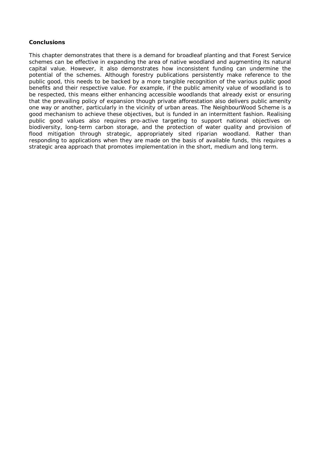#### **Conclusions**

This chapter demonstrates that there is a demand for broadleaf planting and that Forest Service schemes can be effective in expanding the area of native woodland and augmenting its natural capital value. However, it also demonstrates how inconsistent funding can undermine the potential of the schemes. Although forestry publications persistently make reference to the public good, this needs to be backed by a more tangible recognition of the various public good benefits and their respective value. For example, if the public amenity value of woodland is to be respected, this means either enhancing accessible woodlands that already exist or ensuring that the prevailing policy of expansion though private afforestation also delivers public amenity one way or another, particularly in the vicinity of urban areas. The NeighbourWood Scheme is a good mechanism to achieve these objectives, but is funded in an intermittent fashion. Realising public good values also requires pro-active targeting to support national objectives on biodiversity, long-term carbon storage, and the protection of water quality and provision of flood mitigation through strategic, appropriately sited riparian woodland. Rather than responding to applications when they are made on the basis of available funds, this requires a strategic area approach that promotes implementation in the short, medium and long term.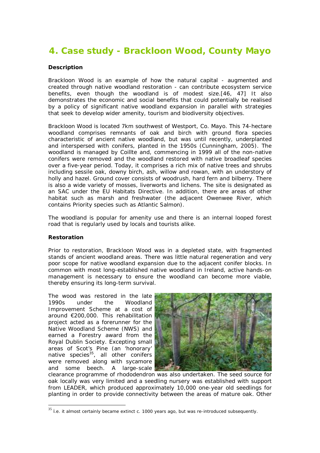# **4. Case study - Brackloon Wood, County Mayo**

#### **Description**

Brackloon Wood is an example of how the natural capital - augmented and created through native woodland restoration - can contribute ecosystem service benefits, even though the woodland is of modest size.[46, 47] It also demonstrates the economic and social benefits that could potentially be realised by a policy of significant native woodland expansion in parallel with strategies that seek to develop wider amenity, tourism and biodiversity objectives.

Brackloon Wood is located 7km southwest of Westport, Co. Mayo. This 74-hectare woodland comprises remnants of oak and birch with ground flora species characteristic of ancient native woodland, but was until recently, underplanted and interspersed with conifers, planted in the 1950s (Cunningham, 2005). The woodland is managed by Coillte and, commencing in 1999 all of the non-native conifers were removed and the woodland restored with native broadleaf species over a five-year period. Today, it comprises a rich mix of native trees and shrubs including sessile oak, downy birch, ash, willow and rowan, with an understory of holly and hazel. Ground cover consists of woodrush, hard fern and bilberry. There is also a wide variety of mosses, liverworts and lichens. The site is designated as an SAC under the EU Habitats Directive. In addition, there are areas of other habitat such as marsh and freshwater (the adjacent Owenwee River, which contains Priority species such as Atlantic Salmon).

The woodland is popular for amenity use and there is an internal looped forest road that is regularly used by locals and tourists alike.

#### **Restoration**

 $\overline{a}$ 

Prior to restoration, Brackloon Wood was in a depleted state, with fragmented stands of ancient woodland areas. There was little natural regeneration and very poor scope for native woodland expansion due to the adjacent conifer blocks. In common with most long-established native woodland in Ireland, active hands-on management is necessary to ensure the woodland can become more viable, thereby ensuring its long-term survival.

The wood was restored in the late 1990s under the Woodland Improvement Scheme at a cost of around €200,000. This rehabilitation project acted as a forerunner for the Native Woodland Scheme (NWS) and earned a Forestry award from the Royal Dublin Society. Excepting small areas of Scot's Pine (an 'honorary' native species $35$ , all other conifers were removed along with sycamore and some beech. A large-scale



clearance programme of rhododendron was also undertaken. The seed source for oak locally was very limited and a seedling nursery was established with support from LEADER, which produced approximately 10,000 one-year old seedlings for planting in order to provide connectivity between the areas of mature oak. Other

 $35$  i.e. it almost certainly became extinct c. 1000 years ago, but was re-introduced subsequently.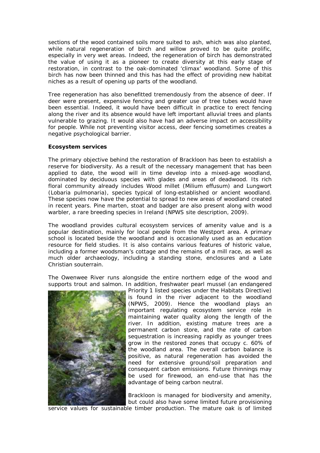sections of the wood contained soils more suited to ash, which was also planted, while natural regeneration of birch and willow proved to be quite prolific, especially in very wet areas. Indeed, the regeneration of birch has demonstrated the value of using it as a pioneer to create diversity at this early stage of restoration, in contrast to the oak-dominated 'climax' woodland. Some of this birch has now been thinned and this has had the effect of providing new habitat niches as a result of opening up parts of the woodland.

Tree regeneration has also benefitted tremendously from the absence of deer. If deer were present, expensive fencing and greater use of tree tubes would have been essential. Indeed, it would have been difficult in practice to erect fencing along the river and its absence would have left important alluvial trees and plants vulnerable to grazing. It would also have had an adverse impact on accessibility for people. While not preventing visitor access, deer fencing sometimes creates a negative psychological barrier.

#### **Ecosystem services**

The primary objective behind the restoration of Brackloon has been to establish a reserve for biodiversity. As a result of the necessary management that has been applied to date, the wood will in time develop into a mixed-age woodland, dominated by deciduous species with glades and areas of deadwood. Its rich floral community already includes Wood millet (*Milium effusum*) and Lungwort (*Lobaria pulmonaria*), species typical of long-established or ancient woodland. These species now have the potential to spread to new areas of woodland created in recent years. Pine marten, stoat and badger are also present along with wood warbler, a rare breeding species in Ireland (NPWS site description, 2009).

The woodland provides cultural ecosystem services of amenity value and is a popular destination, mainly for local people from the Westport area. A primary school is located beside the woodland and is occasionally used as an education resource for field studies. It is also contains various features of historic value, including a former woodsman's cottage and the remains of a mill race, as well as much older archaeology, including a standing stone, enclosures and a Late Christian souterrain.

The Owenwee River runs alongside the entire northern edge of the wood and supports trout and salmon. In addition, freshwater pearl mussel (an endangered



Priority 1 listed species under the Habitats Directive) is found in the river adjacent to the woodland (NPWS, 2009). Hence the woodland plays an important regulating ecosystem service role in maintaining water quality along the length of the river. In addition, existing mature trees are a permanent carbon store, and the rate of carbon sequestration is increasing rapidly as younger trees grow in the restored zones that occupy c. 60% of the woodland area. The overall carbon balance is positive, as natural regeneration has avoided the need for extensive ground/soil preparation and consequent carbon emissions. Future thinnings may be used for firewood, an end-use that has the advantage of being carbon neutral.

Brackloon is managed for biodiversity and amenity, but could also have some limited future provisioning

service values for sustainable timber production. The mature oak is of limited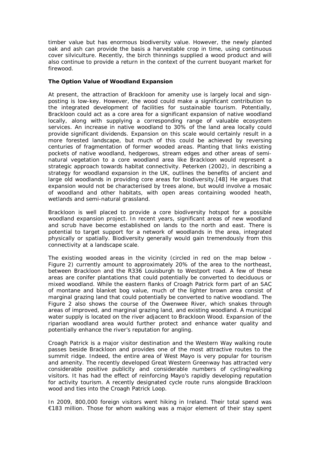timber value but has enormous biodiversity value. However, the newly planted oak and ash can provide the basis a harvestable crop in time, using continuous cover silviculture. Recently, the birch thinnings supplied a wood product and will also continue to provide a return in the context of the current buoyant market for firewood.

#### **The Option Value of Woodland Expansion**

At present, the attraction of Brackloon for amenity use is largely local and signposting is low-key. However, the wood could make a significant contribution to the integrated development of facilities for sustainable tourism. Potentially, Brackloon could act as a core area for a significant expansion of native woodland locally, along with supplying a corresponding range of valuable ecosystem services. An increase in native woodland to 30% of the land area locally could provide significant dividends. Expansion on this scale would certainly result in a more forested landscape, but much of this could be achieved by reversing centuries of fragmentation of former wooded areas. Planting that links existing pockets of native woodland, hedgerows, stream edges and other areas of seminatural vegetation to a core woodland area like Brackloon would represent a strategic approach towards habitat connectivity. Peterken (2002), in describing a strategy for woodland expansion in the UK, outlines the benefits of ancient and large old woodlands in providing core areas for biodiversity.[48] He argues that expansion would not be characterised by trees alone, but would involve a mosaic of woodland and other habitats, with open areas containing wooded heath, wetlands and semi-natural grassland.

Brackloon is well placed to provide a core biodiversity hotspot for a possible woodland expansion project. In recent years, significant areas of new woodland and scrub have become established on lands to the north and east. There is potential to target support for a network of woodlands in the area, integrated physically or spatially. Biodiversity generally would gain tremendously from this connectivity at a landscape scale.

The existing wooded areas in the vicinity (circled in red on the map below - Figure 2) currently amount to approximately 20% of the area to the northeast, between Brackloon and the R336 Louisburgh to Westport road. A few of these areas are conifer plantations that could potentially be converted to deciduous or mixed woodland. While the eastern flanks of Croagh Patrick form part of an SAC of montane and blanket bog value, much of the lighter brown area consist of marginal grazing land that could potentially be converted to native woodland. The Figure 2 also shows the course of the Owenwee River, which snakes through areas of improved, and marginal grazing land, and existing woodland. A municipal water supply is located on the river adjacent to Brackloon Wood. Expansion of the riparian woodland area would further protect and enhance water quality and potentially enhance the river's reputation for angling.

Croagh Patrick is a major visitor destination and the Western Way walking route passes beside Brackloon and provides one of the most attractive routes to the summit ridge. Indeed, the entire area of West Mayo is very popular for tourism and amenity. The recently developed Great Western Greenway has attracted very considerable positive publicity and considerable numbers of cycling/walking visitors. It has had the effect of reinforcing Mayo's rapidly developing reputation for activity tourism. A recently designated cycle route runs alongside Brackloon wood and ties into the Croagh Patrick Loop.

In 2009, 800,000 foreign visitors went hiking in Ireland. Their total spend was €183 million. Those for whom walking was a major element of their stay spent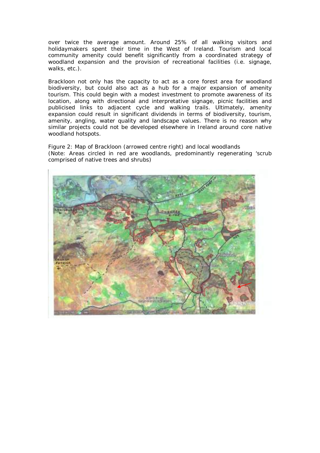over twice the average amount. Around 25% of all walking visitors and holidaymakers spent their time in the West of Ireland. Tourism and local community amenity could benefit significantly from a coordinated strategy of woodland expansion and the provision of recreational facilities (i.e. signage, walks, etc.).

Brackloon not only has the capacity to act as a core forest area for woodland biodiversity, but could also act as a hub for a major expansion of amenity tourism. This could begin with a modest investment to promote awareness of its location, along with directional and interpretative signage, picnic facilities and publicised links to adjacent cycle and walking trails. Ultimately, amenity expansion could result in significant dividends in terms of biodiversity, tourism, amenity, angling, water quality and landscape values. There is no reason why similar projects could not be developed elsewhere in Ireland around core native woodland hotspots.

Figure 2: Map of Brackloon (arrowed centre right) and local woodlands (Note: Areas circled in red are woodlands, predominantly regenerating 'scrub comprised of native trees and shrubs)

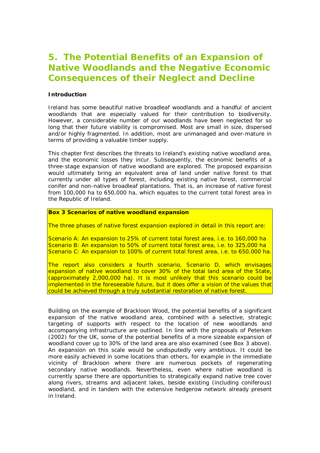## **5. The Potential Benefits of an Expansion of Native Woodlands and the Negative Economic Consequences of their Neglect and Decline**

#### **Introduction**

Ireland has some beautiful native broadleaf woodlands and a handful of ancient woodlands that are especially valued for their contribution to biodiversity. However, a considerable number of our woodlands have been neglected for so long that their future viability is compromised. Most are small in size, dispersed and/or highly fragmented. In addition, most are unmanaged and over-mature in terms of providing a valuable timber supply.

This chapter first describes the threats to Ireland's existing native woodland area, and the economic losses they incur. Subsequently, the economic benefits of a three-stage expansion of native woodland are explored. The proposed expansion would ultimately bring an equivalent area of land under native forest to that currently under all types of forest, including existing native forest, commercial conifer and non-native broadleaf plantations. That is, an increase of native forest from 100,000 ha to 650,000 ha, which equates to the current total forest area in the Republic of Ireland.

**Box 3 Scenarios of native woodland expansion** 

The three phases of native forest expansion explored in detail in this report are:

Scenario A: An expansion to 25% of current total forest area, i.e. to 160,000 ha Scenario B: An expansion to 50% of current total forest area, i.e. to 325,000 ha Scenario C: An expansion to 100% of current total forest area, i.e. to 650,000 ha.

The report also considers a fourth scenario, Scenario D, which envisages expansion of native woodland to cover 30% of the total land area of the State, (approximately 2,000,000 ha). It is most unlikely that this scenario could be implemented in the foreseeable future, but it does offer a vision of the values that could be achieved through a truly substantial restoration of native forest.

Building on the example of Brackloon Wood, the potential benefits of a significant expansion of the native woodland area, combined with a selective, strategic targeting of supports with respect to the location of new woodlands and accompanying infrastructure are outlined. In line with the proposals of Peterken (2002) for the UK, some of the potential benefits of a more sizeable expansion of woodland cover up to 30% of the land area are also examined (see Box 3 above). An expansion on this scale would be undisputedly very ambitious. It could be more easily achieved in some locations than others, for example in the immediate vicinity of Brackloon where there are numerous pockets of regenerating secondary native woodlands. Nevertheless, even where native woodland is currently sparse there are opportunities to strategically expand native tree cover along rivers, streams and adjacent lakes, beside existing (including coniferous) woodland, and in tandem with the extensive hedgerow network already present in Ireland.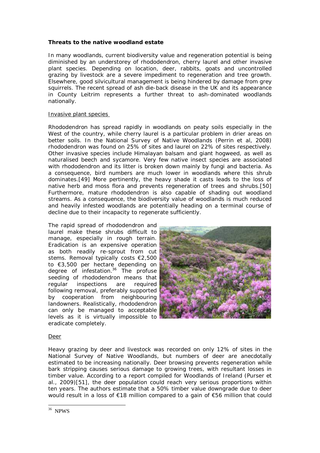#### **Threats to the native woodland estate**

In many woodlands, current biodiversity value and regeneration potential is being diminished by an understorey of rhododendron, cherry laurel and other invasive plant species. Depending on location, deer, rabbits, goats and uncontrolled grazing by livestock are a severe impediment to regeneration and tree growth. Elsewhere, good silvicultural management is being hindered by damage from grey squirrels. The recent spread of ash die-back disease in the UK and its appearance in County Leitrim represents a further threat to ash-dominated woodlands nationally.

#### Invasive plant species

Rhododendron has spread rapidly in woodlands on peaty soils especially in the West of the country, while cherry laurel is a particular problem in drier areas on better soils. In the National Survey of Native Woodlands (Perrin et al, 2008) rhododendron was found on 25% of sites and laurel on 22% of sites respectively. Other invasive species include Himalayan balsam and giant hogweed, as well as naturalised beech and sycamore. Very few native insect species are associated with rhododendron and its litter is broken down mainly by fungi and bacteria. As a consequence, bird numbers are much lower in woodlands where this shrub dominates.[49] More pertinently, the heavy shade it casts leads to the loss of native herb and moss flora and prevents regeneration of trees and shrubs.[50] Furthermore, mature rhododendron is also capable of shading out woodland streams. As a consequence, the biodiversity value of woodlands is much reduced and heavily infested woodlands are potentially heading on a terminal course of decline due to their incapacity to regenerate sufficiently.

The rapid spread of rhododendron and laurel make these shrubs difficult to manage, especially in rough terrain. Eradication is an expensive operation as both readily re-sprout from cut stems. Removal typically costs €2,500 to €3,500 per hectare depending on degree of infestation. $36$  The profuse seeding of rhododendron means that regular inspections are required following removal, preferably supported by cooperation from neighbouring landowners. Realistically, rhododendron can only be managed to acceptable levels as it is virtually impossible to eradicate completely.



#### Deer

Heavy grazing by deer and livestock was recorded on only 12% of sites in the National Survey of Native Woodlands, but numbers of deer are anecdotally estimated to be increasing nationally. Deer browsing prevents regeneration while bark stripping causes serious damage to growing trees, with resultant losses in timber value. According to a report compiled for Woodlands of Ireland (Purser et al., 2009)[51], the deer population could reach very serious proportions within ten years. The authors estimate that a 50% timber value downgrade due to deer would result in a loss of €18 million compared to a gain of €56 million that could

 36 NPWS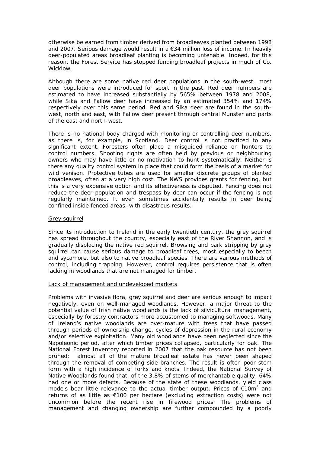otherwise be earned from timber derived from broadleaves planted between 1998 and 2007. Serious damage would result in a  $\epsilon$ 34 million loss of income. In heavily deer-populated areas broadleaf planting is becoming untenable. Indeed, for this reason, the Forest Service has stopped funding broadleaf projects in much of Co. Wicklow.

Although there are some native red deer populations in the south-west, most deer populations were introduced for sport in the past. Red deer numbers are estimated to have increased substantially by 565% between 1978 and 2008, while Sika and Fallow deer have increased by an estimated 354% and 174% respectively over this same period. Red and Sika deer are found in the southwest, north and east, with Fallow deer present through central Munster and parts of the east and north-west.

There is no national body charged with monitoring or controlling deer numbers, as there is, for example, in Scotland. Deer control is not practiced to any significant extent. Foresters often place a misguided reliance on hunters to control numbers. Shooting rights are often held by previous or neighbouring owners who may have little or no motivation to hunt systematically. Neither is there any quality control system in place that could form the basis of a market for wild venison. Protective tubes are used for smaller discrete groups of planted broadleaves, often at a very high cost. The NWS provides grants for fencing, but this is a very expensive option and its effectiveness is disputed. Fencing does not reduce the deer population and trespass by deer can occur if the fencing is not regularly maintained. It even sometimes accidentally results in deer being confined *inside* fenced areas, with disastrous results.

#### Grey squirrel

Since its introduction to Ireland in the early twentieth century, the grey squirrel has spread throughout the country, especially east of the River Shannon, and is gradually displacing the native red squirrel. Browsing and bark stripping by grey squirrel can cause serious damage to broadleaf trees, most especially to beech and sycamore, but also to native broadleaf species. There are various methods of control, including trapping. However, control requires persistence that is often lacking in woodlands that are not managed for timber.

#### Lack of management and undeveloped markets

Problems with invasive flora, grey squirrel and deer are serious enough to impact negatively, even on well-managed woodlands. However, a major threat to the potential value of Irish native woodlands is the lack of silvicultural management, especially by forestry contractors more accustomed to managing softwoods. Many of Ireland's native woodlands are over-mature with trees that have passed through periods of ownership change, cycles of depression in the rural economy and/or selective exploitation. Many old woodlands have been neglected since the Napoleonic period, after which timber prices collapsed, particularly for oak. The National Forest Inventory reported in 2007 that the oak resource has not been pruned: almost all of the mature broadleaf estate has never been shaped through the removal of competing side branches. The result is often poor stem form with a high incidence of forks and knots. Indeed, the National Survey of Native Woodlands found that, of the 3.8% of stems of merchantable quality, 64% had one or more defects. Because of the state of these woodlands, yield class models bear little relevance to the actual timber output. Prices of  $\epsilon$ 10m<sup>3</sup> and returns of as little as €100 per hectare (excluding extraction costs) were not uncommon before the recent rise in firewood prices. The problems of management and changing ownership are further compounded by a poorly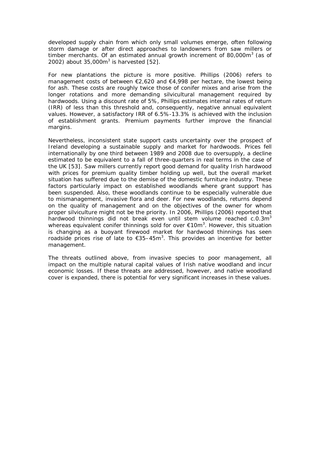developed supply chain from which only small volumes emerge, often following storm damage or after direct approaches to landowners from saw millers or timber merchants. Of an estimated annual growth increment of 80,000 $m<sup>3</sup>$  (as of 2002) about  $35,000m^3$  is harvested  $[52]$ .

For new plantations the picture is more positive. Phillips (2006) refers to management costs of between €2,620 and €4,998 per hectare, the lowest being for ash. These costs are roughly twice those of conifer mixes and arise from the longer rotations and more demanding silvicultural management required by hardwoods. Using a discount rate of 5%, Phillips estimates internal rates of return (IRR) of less than this threshold and, consequently, negative annual equivalent values. However, a satisfactory IRR of 6.5%-13.3% is achieved with the inclusion of establishment grants. Premium payments further improve the financial margins.

Nevertheless, inconsistent state support casts uncertainty over the prospect of Ireland developing a sustainable supply and market for hardwoods. Prices fell internationally by one third between 1989 and 2008 due to oversupply, a decline estimated to be equivalent to a fall of three-quarters in real terms in the case of the UK [53]. Saw millers currently report good demand for quality Irish hardwood with prices for premium quality timber holding up well, but the overall market situation has suffered due to the demise of the domestic furniture industry. These factors particularly impact on established woodlands where grant support has been suspended. Also, these woodlands continue to be especially vulnerable due to mismanagement, invasive flora and deer. For new woodlands, returns depend on the quality of management and on the objectives of the owner for whom proper silviculture might not be the priority. In 2006, Phillips (2006) reported that hardwood thinnings did not break even until stem volume reached  $c.0.3m<sup>3</sup>$ whereas equivalent conifer thinnings sold for over  $\epsilon$ 10m<sup>3</sup>. However, this situation is changing as a buoyant firewood market for hardwood thinnings has seen roadside prices rise of late to  $\epsilon$ 35-45m<sup>3</sup>. This provides an incentive for better management.

The threats outlined above, from invasive species to poor management, all impact on the multiple natural capital values of Irish native woodland and incur economic losses. If these threats are addressed, however, and native woodland cover is expanded, there is potential for very significant increases in these values.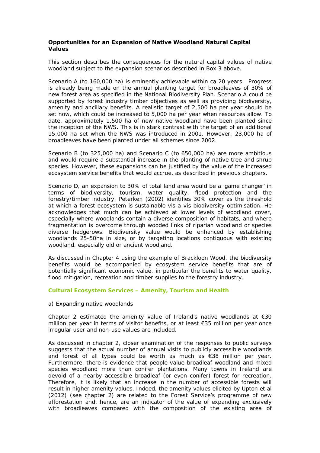#### **Opportunities for an Expansion of Native Woodland Natural Capital Values**

This section describes the consequences for the natural capital values of native woodland subject to the expansion scenarios described in Box 3 above.

Scenario A (to 160,000 ha) is eminently achievable within ca 20 years. Progress is already being made on the annual planting target for broadleaves of 30% of new forest area as specified in the National Biodiversity Plan. Scenario A could be supported by forest industry timber objectives as well as providing biodiversity, amenity and ancillary benefits. A realistic target of 2,500 ha per year should be set now, which could be increased to 5,000 ha per year when resources allow. To date, approximately 1,500 ha of new native woodland have been planted since the inception of the NWS. This is in stark contrast with the target of an additional 15,000 ha set when the NWS was introduced in 2001. However, 23,000 ha of broadleaves have been planted under all schemes since 2002.

Scenario B (to 325,000 ha) and Scenario C (to 650,000 ha) are more ambitious and would require a substantial increase in the planting of native tree and shrub species. However, these expansions can be justified by the value of the increased ecosystem service benefits that would accrue, as described in previous chapters.

Scenario D, an expansion to 30% of *total land area* would be a 'game changer' in terms of biodiversity, tourism, water quality, flood protection and the forestry/timber industry. Peterken (2002) identifies 30% cover as the threshold at which a forest ecosystem is sustainable *vis-a-vis* biodiversity optimisation. He acknowledges that much can be achieved at lower levels of woodland cover, especially where woodlands contain a diverse composition of habitats, and where fragmentation is overcome through wooded links of riparian woodland or species diverse hedgerows. Biodiversity value would be enhanced by establishing woodlands 25-50ha in size, or by targeting locations contiguous with existing woodland, especially old or ancient woodland.

As discussed in Chapter 4 using the example of Brackloon Wood, the biodiversity benefits would be accompanied by ecosystem service benefits that are of potentially significant economic value, in particular the benefits to water quality, flood mitigation, recreation and timber supplies to the forestry industry.

#### **Cultural Ecosystem Services – Amenity, Tourism and Health**

a) Expanding native woodlands

Chapter 2 estimated the amenity value of Ireland's native woodlands at  $\epsilon$ 30 million per year in terms of visitor benefits, or at least €35 million per year once irregular user and non-use values are included.

As discussed in chapter 2, closer examination of the responses to public surveys suggests that the actual number of annual visits to publicly accessible woodlands and forest of all types could be worth as much as €38 million per year. Furthermore, there is evidence that people value broadleaf woodland and mixed species woodland more than conifer plantations. Many towns in Ireland are devoid of a nearby accessible broadleaf (or even conifer) forest for recreation. Therefore, it is likely that an increase in the number of accessible forests will result in higher amenity values. Indeed, the amenity values elicited by Upton et al (2012) (see chapter 2) are related to the Forest Service's programme of new afforestation and, hence, are an indicator of the value of expanding exclusively with broadleaves compared with the composition of the existing area of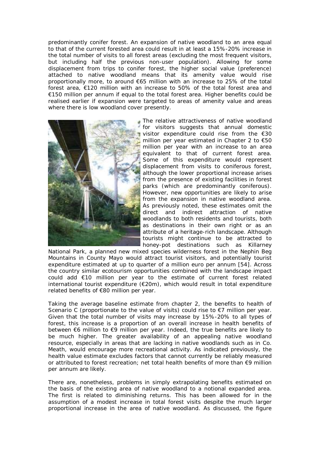predominantly conifer forest. An expansion of native woodland to an area equal to that of the current forested area could result in at least a 15%-20% increase in the total number of visits to all forest areas (excluding the most frequent visitors, but including half the previous non-user population). Allowing for some displacement from trips to conifer forest, the higher social value (preference) attached to native woodland means that its amenity value would rise proportionally more, to around €65 million with an increase to 25% of the total forest area, €120 million with an increase to 50% of the total forest area and €150 million per annum if equal to the total forest area. Higher benefits could be realised earlier if expansion were targeted to areas of amenity value and areas where there is low woodland cover presently.



The relative attractiveness of native woodland for visitors suggests that annual domestic visitor expenditure could rise from the €30 million per year estimated in Chapter 2 to €50 million per year with an increase to an area equivalent to that of current forest area. Some of this expenditure would represent displacement from visits to coniferous forest, although the lower proportional increase arises from the presence of existing facilities in forest parks (which are predominantly coniferous). However, new opportunities are likely to arise from the expansion in native woodland area. As previously noted, these estimates omit the direct and indirect attraction of native woodlands to both residents and tourists, both as destinations in their own right or as an attribute of a heritage-rich landscape. Although tourists might continue to be attracted to honey-pot destinations such as Killarney

National Park, a planned new mixed species wilderness forest in the Nephin Beg Mountains in County Mayo would attract tourist visitors, and potentially tourist expenditure estimated at up to quarter of a million euro per annum [54]. Across the country similar ecotourism opportunities combined with the landscape impact could add €10 million per year to the estimate of current forest related international tourist expenditure  $(E20m)$ , which would result in total expenditure related benefits of €80 million per year.

Taking the average baseline estimate from chapter 2, the benefits to health of Scenario C (proportionate to the value of visits) could rise to  $\epsilon$ 7 million per year. Given that the total number of visits may increase by 15%-20% to all types of forest, this increase is a proportion of an overall increase in health benefits of between €6 million to €9 million per year. Indeed, the true benefits are likely to be much higher. The greater availability of an appealing native woodland resource, especially in areas that are lacking in native woodlands such as in Co. Meath, would encourage more recreational activity. As indicated previously, the health value estimate excludes factors that cannot currently be reliably measured or attributed to forest recreation; net total health benefits of more than €9 million per annum are likely.

There are, nonetheless, problems in simply extrapolating benefits estimated on the basis of the existing area of native woodland to a notional expanded area. The first is related to diminishing returns. This has been allowed for in the assumption of a modest increase in total forest visits despite the much larger proportional increase in the area of native woodland. As discussed, the figure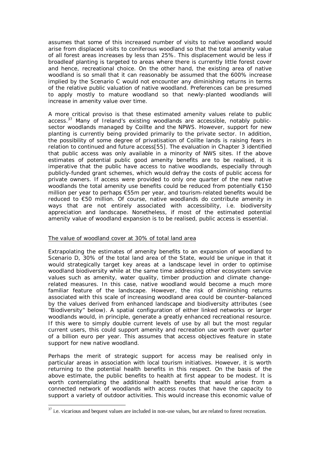assumes that some of this increased number of visits to native woodland would arise from displaced visits to coniferous woodland so that the total amenity value of all forest areas increases by less than 25%. This displacement would be less if broadleaf planting is targeted to areas where there is currently little forest cover and hence, recreational choice. On the other hand, the existing area of native woodland is *so* small that it can reasonably be assumed that the 600% increase implied by the Scenario C would not encounter any diminishing returns in terms of the relative public valuation of native woodland. Preferences can be presumed to apply mostly to mature woodland so that newly-planted woodlands will increase in amenity value over time.

A more critical proviso is that these estimated amenity values relate to public access.<sup>37</sup> Many of Ireland's existing woodlands are accessible, notably publicsector woodlands managed by Coillte and the NPWS. However, support for new planting is currently being provided primarily to the private sector. In addition, the possibility of some degree of privatisation of Coillte lands is raising fears in relation to continued and future access[55]. The evaluation in Chapter 3 identified that public access was only available in a minority of NWS sites. If the above estimates of potential public good amenity benefits are to be realised, it is imperative that the public have access to native woodlands, especially through publicly-funded grant schemes, which would defray the costs of public access for private owners. If access were provided to only one quarter of the new native woodlands the total amenity use benefits could be reduced from potentially €150 million per year to perhaps €55m per year, and tourism-related benefits would be reduced to €50 million. Of course, native woodlands do contribute amenity in ways that are not entirely associated with accessibility, i.e. biodiversity appreciation and landscape. Nonetheless, if most of the estimated potential amenity value of woodland expansion is to be realised, public access is essential.

#### The value of woodland cover at 30% of total land area

Extrapolating the estimates of amenity benefits to an expansion of woodland to Scenario D, 30% of the *total land area* of the State, would be unique in that it would strategically target key areas at a landscape level in order to optimise woodland biodiversity while at the same time addressing other ecosystem service values such as amenity, water quality, timber production and climate changerelated measures. In this case, native woodland would become a much more familiar feature of the landscape. However, the risk of diminishing returns associated with this scale of increasing woodland area could be counter-balanced by the values derived from enhanced landscape and biodiversity attributes (see "Biodiversity" below). A spatial configuration of either linked networks or larger woodlands would, in principle, generate a greatly enhanced recreational resource. If this were to simply double current levels of use by all but the most regular current users, this could support amenity and recreation use worth over quarter of a billion euro per year. This assumes that access objectives feature in state support for new native woodland.

Perhaps the merit of strategic support for access may be realised only in particular areas in association with local tourism initiatives. However, it is worth returning to the potential health benefits in this respect. On the basis of the above estimate, the public benefits to health at first appear to be modest. It is worth contemplating the additional health benefits that would arise from a connected network of woodlands with access routes that have the capacity to support a variety of outdoor activities. This would increase this economic value of

 $\overline{a}$  $37$  i.e. vicarious and bequest values are included in non-use values, but are related to forest recreation.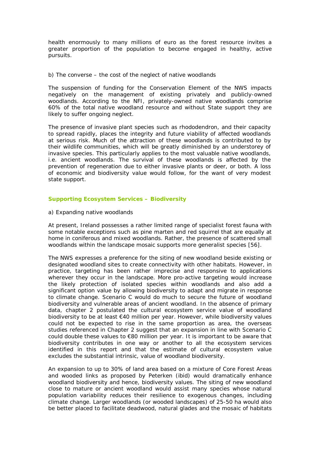health enormously to many millions of euro as the forest resource invites a greater proportion of the population to become engaged in healthy, active pursuits.

b) The converse – the cost of the neglect of native woodlands

The suspension of funding for the Conservation Element of the NWS impacts negatively on the management of existing privately and publicly-owned woodlands. According to the NFI, privately-owned native woodlands comprise 60% of the total native woodland resource and without State support they are likely to suffer ongoing neglect.

The presence of invasive plant species such as rhododendron, and their capacity to spread rapidly, places the integrity and future viability of affected woodlands at serious risk. Much of the attraction of these woodlands is contributed to by their wildlife communities, which will be greatly diminished by an understorey of invasive species. This particularly applies to the most valuable native woodlands, i.e. ancient woodlands. The survival of these woodlands is affected by the prevention of regeneration due to either invasive plants or deer, or both. A loss of economic and biodiversity value would follow, for the want of very modest state support.

#### **Supporting Ecosystem Services – Biodiversity**

#### a) Expanding native woodlands

At present, Ireland possesses a rather limited range of specialist forest fauna with some notable exceptions such as pine marten and red squirrel that are equally at home in coniferous and mixed woodlands. Rather, the presence of scattered small woodlands within the landscape mosaic supports more generalist species [56].

The NWS expresses a preference for the siting of new woodland beside existing or designated woodland sites to create connectivity with other habitats. However, in practice, targeting has been rather imprecise and responsive to applications wherever they occur in the landscape. More pro-active targeting would increase the likely protection of isolated species within woodlands and also add a significant *option value* by allowing biodiversity to adapt and migrate in response to climate change. Scenario C would do much to secure the future of woodland biodiversity and vulnerable areas of ancient woodland. In the absence of primary data, chapter 2 postulated the cultural ecosystem service value of woodland biodiversity to be at least €40 million per year. However, while biodiversity values could not be expected to rise in the same proportion as area, the overseas studies referenced in Chapter 2 suggest that an expansion in line with Scenario C could double these values to €80 million per year. It is important to be aware that biodiversity contributes in one way or another to all the ecosystem services identified in this report and that the estimate of cultural ecosystem value excludes the substantial intrinsic, value of woodland biodiversity.

An expansion to up to 30% of land area based on a mixture of Core Forest Areas and wooded links as proposed by Peterken (ibid) would dramatically enhance woodland biodiversity and hence, biodiversity values. The siting of new woodland close to mature or ancient woodland would assist many species whose natural population variability reduces their resilience to exogenous changes, including climate change. Larger woodlands (or wooded landscapes) of 25-50 ha would also be better placed to facilitate deadwood, natural glades and the mosaic of habitats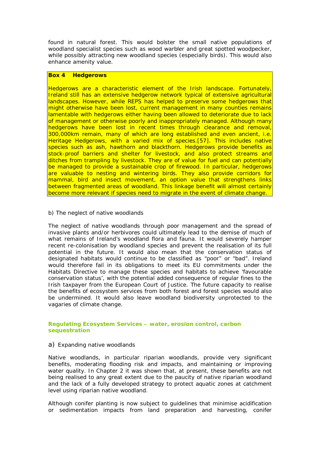found in natural forest. This would bolster the small native populations of woodland specialist species such as wood warbler and great spotted woodpecker, while possibly attracting new woodland species (especially birds). This would also enhance amenity value.

#### **Box 4 Hedgerows**

Hedgerows are a characteristic element of the Irish landscape. Fortunately, Ireland still has an extensive hedgerow network typical of extensive agricultural landscapes. However, while REPS has helped to preserve some hedgerows that might otherwise have been lost, current management in many counties remains lamentable with hedgerows either having been allowed to deteriorate due to lack of management or otherwise poorly and inappropriately managed. Although many hedgerows have been lost in recent times through clearance and removal, 300,000km remain, many of which are long established and even ancient, i.e. Heritage Hedgerows, with a varied mix of species.[57]. This includes native species such as ash, hawthorn and blackthorn. Hedgerows provide benefits as stock-proof barriers and shelter for livestock, and also protect streams and ditches from trampling by livestock. They are of value for fuel and can potentially be managed to provide a sustainable crop of firewood. In particular, hedgerows are valuable to nesting and wintering birds. They also provide corridors for mammal, bird and insect movement, an option value that strengthens links between fragmented areas of woodland. This linkage benefit will almost certainly become more relevant if species need to migrate in the event of climate change.

#### b) The neglect of native woodlands

The neglect of native woodlands through poor management and the spread of invasive plants and/or herbivores could ultimately lead to the demise of much of what remains of Ireland's woodland flora and fauna. It would severely hamper recent re-colonisation by woodland species and prevent the realisation of its full potential in the future. It would also mean that the conservation status of designated habitats would continue to be classified as "poor" or "bad". Ireland would therefore fail in its obligations to meet its EU commitments under the Habitats Directive to manage these species and habitats to achieve 'favourable conservation status', with the potential added consequence of regular fines to the Irish taxpayer from the European Court of Justice. The future capacity to realise the benefits of ecosystem services from both forest and forest species would also be undermined. It would also leave woodland biodiversity unprotected to the vagaries of climate change.

#### **Regulating Ecosystem Services – water, erosion control, carbon sequestration**

#### a) Expanding native woodlands

Native woodlands, in particular riparian woodlands, provide very significant benefits, moderating flooding risk and impacts, and maintaining or improving water quality. In Chapter 2 it was shown that, at present, these benefits are not being realised to any great extent due to the paucity of native riparian woodland and the lack of a fully developed strategy to protect aquatic zones at catchment level using riparian native woodland.

Although conifer planting is now subject to guidelines that minimise acidification or sedimentation impacts from land preparation and harvesting, conifer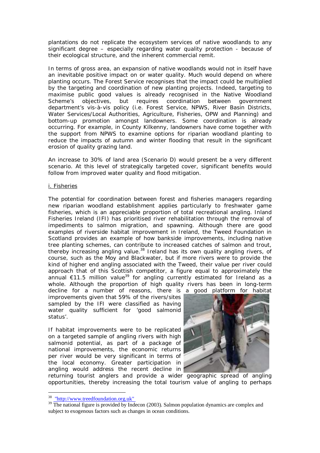plantations do not replicate the ecosystem services of native woodlands to any significant degree – especially regarding water quality protection - because of their ecological structure, and the inherent commercial remit.

In terms of gross area, an expansion of native woodlands would not in itself have an inevitable positive impact on or water quality. Much would depend on where planting occurs. The Forest Service recognises that the impact could be multiplied by the targeting and coordination of new planting projects. Indeed, targeting to maximise public good values is already recognised in the Native Woodland Scheme's objectives, but requires coordination between government department's vis-à-vis policy (i.e. Forest Service, NPWS, River Basin Districts, Water Services/Local Authorities, Agriculture, Fisheries, OPW and Planning) and bottom-up promotion amongst landowners. Some coordination is already occurring. For example, in County Kilkenny, landowners have come together with the support from NPWS to examine options for riparian woodland planting to reduce the impacts of autumn and winter flooding that result in the significant erosion of quality grazing land.

An increase to 30% of land area (Scenario D) would present be a very different scenario. At this level of strategically targeted cover, significant benefits would follow from improved water quality and flood mitigation.

#### i. Fisheries

The potential for coordination between forest and fisheries managers regarding new riparian woodland establishment applies particularly to freshwater game fisheries, which is an appreciable proportion of total recreational angling. Inland Fisheries Ireland (IFI) has prioritised river rehabilitation through the removal of impediments to salmon migration, and spawning. Although there are good examples of riverside habitat improvement in Ireland, the Tweed Foundation in Scotland provides an example of how bankside improvements, including native tree planting schemes, can contribute to increased catches of salmon and trout, thereby increasing angling value.<sup>38</sup> Ireland has its own quality angling rivers, of course, such as the Moy and Blackwater, but if more rivers were to provide the kind of higher end angling associated with the Tweed, their value *per river* could approach that of this Scottish competitor, a figure equal to approximately the annual €11.5 million value<sup>39</sup> for angling currently estimated for Ireland as a whole. Although the proportion of high quality rivers has been in long-term decline for a number of reasons, there is a good platform for habitat

improvements given that 59% of the rivers/sites sampled by the IFI were classified as having water quality sufficient for 'good salmonid status'.

If habitat improvements were to be replicated on a targeted sample of angling rivers with high salmonid potential, as part of a package of national improvements, the economic returns per river would be very significant in terms of the local economy. Greater participation in angling would address the recent decline in



returning tourist anglers and provide a wider geographic spread of angling opportunities, thereby increasing the total tourism value of angling to perhaps

 $\overline{a}$ 

<sup>38</sup> "http://www.treedfoundation.org.uk"

 $39$  The national figure is provided by Indecon (2003). Salmon population dynamics are complex and subject to exogenous factors such as changes in ocean conditions.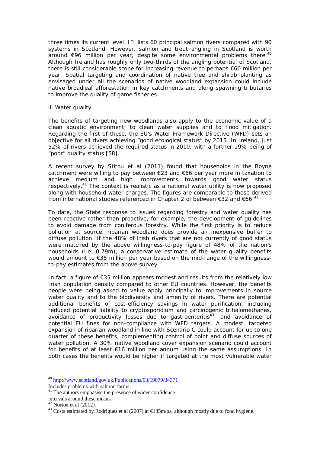three times its current level. IFI lists 60 principal salmon rivers compared with 90 systems in Scotland. However, salmon and trout angling in Scotland is worth around  $\epsilon$ 96 million per year, despite some environmental problems there.<sup>40</sup> Although Ireland has roughly only two-thirds of the angling potential of Scotland, there is still considerable scope for increasing revenue to perhaps €60 million per year. Spatial targeting and coordination of native tree and shrub planting as envisaged under all the scenarios of native woodland expansion could include native broadleaf afforestation in key catchments and along spawning tributaries to improve the quality of game fisheries.

#### ii. Water quality

The benefits of targeting new woodlands also apply to the economic value of a clean aquatic environment, to clean water supplies and to flood mitigation. Regarding the first of these, the EU's Water Framework Directive (WFD) sets an objective for all rivers achieving "good ecological status" by 2015. In Ireland, just 52% of rivers achieved the required status in 2010, with a further 19% being of "poor" quality status [58].

A recent survey by Stitou *et al* (2011) found that households in the Boyne catchment were willing to pay between €23 and €66 per year more in taxation to achieve medium and high improvements towards good water status respectively.<sup>41</sup> The context is realistic as a national water utility is now proposed along with household water charges. The figures are comparable to those derived from international studies referenced in Chapter 2 of between €32 and €66.<sup>42</sup>

To date, the State response to issues regarding forestry and water quality has been reactive rather than proactive, for example, the development of guidelines to avoid damage from coniferous forestry. While the first priority is to reduce pollution at source, riparian woodland does provide an inexpensive buffer to diffuse pollution. If the 48% of Irish rivers that are not currently of good status were matched by the above willingness-to-pay figure of 48% of the nation's households (i.e. 0.79m), a conservative estimate of the water quality benefits would amount to €35 million per year based on the mid-range of the willingnessto-pay estimates from the above survey.

In fact, a figure of €35 million appears modest and results from the relatively low Irish population density compared to other EU countries. However, the benefits people were being asked to value apply principally to improvements in source water quality and to the biodiversity and amenity of rivers. There are potential additional benefits of cost-efficiency savings in water purification, including reduced potential liability to cryptosporidium and carcinogenic trihalomethanes, avoidance of productivity losses due to gastroenteritis<sup>43</sup>, and avoidance of potential EU fines for non-compliance with WFD targets. A modest, targeted expansion of riparian woodland in line with Scenario C could account for up to one quarter of these benefits, complementing control of point and diffuse sources of water pollution. A 30% native woodland cover expansion scenario could account for benefits of at least €16 million per annum using the same assumptions. In both cases the benefits would be higher if targeted at the most vulnerable water

 $\overline{a}$ 

<sup>&</sup>lt;sup>40</sup> http://www.scotland.gov.uk/Publications/03/19079/34371

Includes problems with salmon farms.

<sup>&</sup>lt;sup>41</sup> The authors emphasise the presence of wider confidence

intervals around these means.

 $42$  Norton et al  $(2012)$ .

<sup>&</sup>lt;sup>43</sup> Costs estimated by Rodrigues et al (2007) at  $\epsilon$ 135m/pa, although mostly due to food hygiene.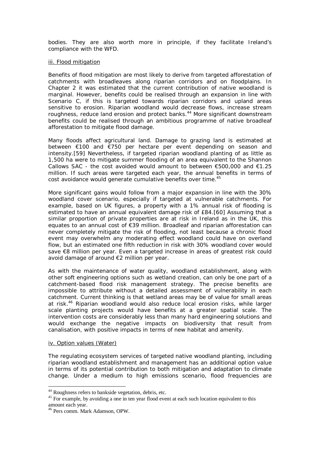bodies. They are also worth more in principle, if they facilitate Ireland's compliance with the WFD.

#### iii. Flood mitigation

Benefits of flood mitigation are most likely to derive from targeted afforestation of catchments with broadleaves along riparian corridors and on floodplains. In Chapter 2 it was estimated that the current contribution of native woodland is marginal. However, benefits could be realised through an expansion in line with Scenario C, if this is targeted towards riparian corridors and upland areas sensitive to erosion. Riparian woodland would decrease flows, increase stream roughness, reduce land erosion and protect banks.<sup>44</sup> More significant downstream benefits could be realised through an ambitious programme of native broadleaf afforestation to mitigate flood damage.

Many floods affect agricultural land. Damage to grazing land is estimated at between €100 and €750 per hectare per event depending on season and intensity.[59] Nevertheless, if targeted riparian woodland planting of as little as 1,500 ha were to mitigate summer flooding of an area equivalent to the Shannon Callows SAC - the cost avoided would amount to between  $\epsilon$ 500,000 and  $\epsilon$ 1.25 million. If such areas were targeted each year, the annual benefits in terms of cost avoidance would generate cumulative benefits over time.<sup>45</sup>

More significant gains would follow from a major expansion in line with the 30% woodland cover scenario, especially if targeted at vulnerable catchments. For example, based on UK figures, a property with a 1% annual risk of flooding is estimated to have an annual equivalent damage risk of £84.[60] Assuming that a similar proportion of private properties are at risk in Ireland as in the UK, this equates to an annual cost of €39 million. Broadleaf and riparian afforestation can never completely mitigate the risk of flooding, not least because a chronic flood event may overwhelm any moderating effect woodland could have on overland flow, but an estimated one fifth reduction in risk with 30% woodland cover would save €8 million per year. Even a targeted increase in areas of greatest risk could avoid damage of around €2 million per year.

As with the maintenance of water quality, woodland establishment, along with other soft engineering options such as wetland creation, can only be one part of a catchment-based flood risk management strategy. The precise benefits are impossible to attribute without a detailed assessment of vulnerability in each catchment. Current thinking is that wetland areas may be of value for small areas at risk.<sup>46</sup> Riparian woodland would also reduce local erosion risks, while larger scale planting projects would have benefits at a greater spatial scale. The intervention costs are considerably less than many hard engineering solutions and would exchange the negative impacts on biodiversity that result from canalisation, with positive impacts in terms of new habitat and amenity.

#### iv. Option values (Water)

 $\overline{a}$ 

The regulating ecosystem services of targeted native woodland planting, including riparian woodland establishment and management has an additional *option value* in terms of its potential contribution to both mitigation and adaptation to climate change. Under a medium to high emissions scenario, flood frequencies are

<sup>&</sup>lt;sup>44</sup> Roughness refers to bankside vegetation, debris, etc.

<sup>&</sup>lt;sup>45</sup> For example, by avoiding a one in ten year flood event at each such location equivalent to this amount each year.

<sup>46</sup> Pers comm. Mark Adamson, OPW.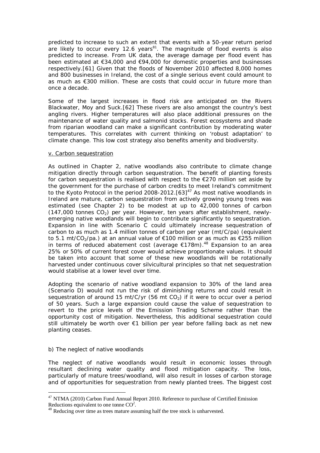predicted to increase to such an extent that events with a 50-year return period are likely to occur every 12.6 years $81$ . The magnitude of flood events is also predicted to increase. From UK data, the average damage per flood event has been estimated at €34,000 and €94,000 for domestic properties and businesses respectively.[61] Given that the floods of November 2010 affected 8,000 homes and 800 businesses in Ireland, the cost of a single serious event could amount to as much as  $\epsilon$ 300 million. These are costs that could occur in future more than once a decade.

Some of the largest increases in flood risk are anticipated on the Rivers Blackwater, Moy and Suck.[62] These rivers are also amongst the country's best angling rivers. Higher temperatures will also place additional pressures on the maintenance of water quality and salmonid stocks. Forest ecosystems and shade from riparian woodland can make a significant contribution by moderating water temperatures. This correlates with current thinking on 'robust adaptation' to climate change. This low cost strategy also benefits amenity and biodiversity.

#### v. Carbon sequestration

As outlined in Chapter 2, native woodlands also contribute to climate change mitigation directly through carbon sequestration. The benefit of planting forests for carbon sequestration is realised with respect to the €270 million set aside by the government for the purchase of carbon credits to meet Ireland's commitment to the Kyoto Protocol in the period 2008-2012.  $[63]^{47}$  As most native woodlands in Ireland are mature, carbon sequestration from actively growing young trees was estimated (see Chapter 2) to be modest at up to 42,000 tonnes of carbon (147,000 tonnes  $CO<sub>2</sub>$ ) per year. However, ten years after establishment, newlyemerging native woodlands will begin to contribute significantly to sequestration. Expansion in line with Scenario C could ultimately increase sequestration of carbon to as much as 1.4 million tonnes of carbon per year (mt/C/pa) (equivalent to 5.1 mt/CO<sub>2</sub>/pa.) at an annual value of €100 million or as much as €255 million in terms of reduced abatement cost (average  $€178$ m).<sup>48</sup> Expansion to an area 25% or 50% of current forest cover would achieve proportionate values. It should be taken into account that some of these new woodlands will be rotationally harvested under continuous cover silvicultural principles so that net sequestration would stabilise at a lower level over time.

Adopting the scenario of native woodland expansion to 30% of the land area (Scenario D) would not run the risk of diminishing returns and could result in sequestration of around 15 mt/C/yr (56 mt  $CO<sub>2</sub>$ ) if it were to occur over a period of 50 years. Such a large expansion could cause the value of sequestration to revert to the price levels of the Emission Trading Scheme rather than the opportunity cost of mitigation. Nevertheless, this additional sequestration could still ultimately be worth over €1 billion per year before falling back as net new planting ceases.

#### b) The neglect of native woodlands

 $\overline{a}$ 

The neglect of native woodlands would result in economic losses through resultant declining water quality and flood mitigation capacity. The loss, particularly of mature trees/woodland, will also result in losses of carbon storage and of opportunities for sequestration from newly planted trees. The biggest cost

<sup>&</sup>lt;sup>47</sup> NTMA (2010) Carbon Fund Annual Report 2010. Reference to purchase of Certified Emission Reductions equivalent to one tonne  $CO<sup>2</sup>$ .

<sup>&</sup>lt;sup>48</sup> Reducing over time as trees mature assuming half the tree stock is unharvested.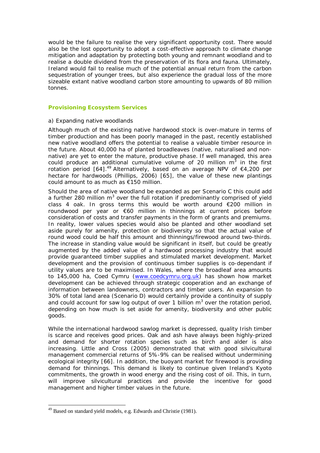would be the failure to realise the very significant opportunity cost. There would also be the lost opportunity to adopt a cost-effective approach to climate change mitigation and adaptation by protecting both young and remnant woodland and to realise a double dividend from the preservation of its flora and fauna. Ultimately, Ireland would fail to realise much of the potential annual return from the carbon sequestration of younger trees, but also experience the gradual loss of the more sizeable extant native woodland carbon store amounting to upwards of 80 million tonnes.

#### **Provisioning Ecosystem Services**

#### a) Expanding native woodlands

Although much of the existing native hardwood stock is over-mature in terms of timber production and has been poorly managed in the past, recently established new native woodland offers the potential to realise a valuable timber resource in the future. About 40,000 ha of planted broadleaves (native, naturalised and nonnative) are yet to enter the mature, productive phase. If well managed, this area could produce an additional cumulative volume of 20 million  $m^3$  in the first rotation period  $[64]$ .<sup>49</sup> Alternatively, based on an average NPV of  $\epsilon$ 4,200 per hectare for hardwoods (Phillips, 2006) [65], the value of these new plantings could amount to as much as €150 million.

Should the area of native woodland be expanded as per Scenario C this could add a further 280 million  $m<sup>3</sup>$  over the full rotation if predominantly comprised of yield class 4 oak. In gross terms this would be worth around  $\epsilon$ 200 million in roundwood per year or €60 million in thinnings at current prices before consideration of costs and transfer payments in the form of grants and premiums. In reality, lower values species would also be planted and other woodland set aside purely for amenity, protection or biodiversity so that the actual value of round wood could be half this amount and thinnings/firewood around two-thirds. The increase in standing value would be significant in itself, but could be greatly augmented by the added value of a hardwood processing industry that would provide guaranteed timber supplies and stimulated market development. Market development and the provision of continuous timber supplies is co-dependant if utility values are to be maximised. In Wales, where the broadleaf area amounts to 145,000 ha, Coed Cymru (www.coedcymru.org.uk) has shown how market development can be achieved through strategic cooperation and an exchange of information between landowners, contractors and timber users. An expansion to 30% of total land area (Scenario D) would certainly provide a continuity of supply and could account for saw log output of over 1 billion  $m<sup>3</sup>$  over the rotation period, depending on how much is set aside for amenity, biodiversity and other public goods.

While the international hardwood sawlog market is depressed, quality Irish timber is scarce and receives good prices. Oak and ash have always been highly-prized and demand for shorter rotation species such as birch and alder is also increasing. Little and Cross (2005) demonstrated that with good silvicultural management commercial returns of 5%-9% can be realised without undermining ecological integrity [66]. In addition, the buoyant market for firewood is providing demand for thinnings. This demand is likely to continue given Ireland's Kyoto commitments, the growth in wood energy and the rising cost of oil. This, in turn, will improve silvicultural practices and provide the incentive for good management and higher timber values in the future.

 $\overline{a}$ <sup>49</sup> Based on standard yield models, e.g. Edwards and Christie (1981).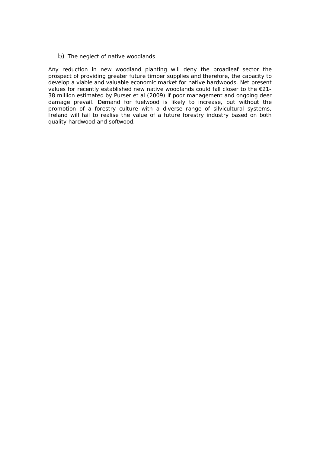b) The neglect of native woodlands

Any reduction in new woodland planting will deny the broadleaf sector the prospect of providing greater future timber supplies and therefore, the capacity to develop a viable and valuable economic market for native hardwoods. Net present values for recently established new native woodlands could fall closer to the  $E21$ -38 million estimated by Purser *et al* (2009) if poor management and ongoing deer damage prevail. Demand for fuelwood is likely to increase, but without the promotion of a forestry culture with a diverse range of silvicultural systems, Ireland will fail to realise the value of a future forestry industry based on both quality hardwood and softwood.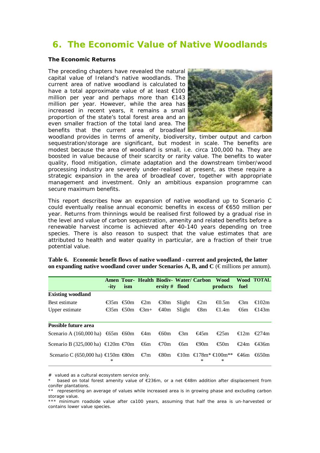## **6. The Economic Value of Native Woodlands**

#### **The Economic Returns**

The preceding chapters have revealed the natural capital value of Ireland's native woodlands. The current area of native woodland is calculated to have a total approximate value of at least €100 million per year and perhaps more than €143 million per year. However, while the area has increased in recent years, it remains a small proportion of the state's total forest area and an even smaller fraction of the total land area. The benefits that the current area of broadleaf



woodland provides in terms of amenity, biodiversity, timber output and carbon sequestration/storage are significant, but modest in scale. The benefits are modest because the area of woodland is small, i.e. circa 100,000 ha. They are boosted in value because of their scarcity or rarity value. The benefits to water quality, flood mitigation, climate adaptation and the downstream timber/wood processing industry are severely under-realised at present, as these require a strategic expansion in the area of broadleaf cover, together with appropriate management and investment. Only an ambitious expansion programme can secure maximum benefits.

This report describes how an expansion of native woodland up to Scenario C could eventually realise annual economic benefits in excess of €650 million per year. Returns from thinnings would be realised first followed by a gradual rise in the level and value of carbon sequestration, amenity and related benefits before a renewable harvest income is achieved after 40-140 years depending on tree species. There is also reason to suspect that the value estimates that are attributed to health and water quality in particular, are a fraction of their true potential value.

|                                                                      | $-ity$      | ism |                                     | Amen Tour- Health Biodiv- Water/ Carbon Wood<br>ersity $#$ flood |        |               | products                                                                | fuel | <b>Wood TOTAL</b>              |
|----------------------------------------------------------------------|-------------|-----|-------------------------------------|------------------------------------------------------------------|--------|---------------|-------------------------------------------------------------------------|------|--------------------------------|
| <b>Existing woodland</b>                                             |             |     |                                     |                                                                  |        |               |                                                                         |      |                                |
| Best estimate                                                        | $€35n$ €50n |     | $\epsilon$ 2n                       | $\epsilon$ 30m                                                   | Slight | $\epsilon$ 2m | € $0.5m$                                                                | €3n  | €102 $\text{m}$                |
| Upper estimate                                                       |             |     | $\text{\textsterling}35n$ €50n €3m+ | €40m                                                             | Slight | €8m           | $€1.4$ m                                                                | €6n  | €143 $\text{m}$                |
| <b>Possible future area</b>                                          |             |     |                                     |                                                                  |        |               |                                                                         |      |                                |
| Scenario A (160,000 ha) €65n €60n €4n €60n                           |             |     |                                     |                                                                  | €3m    | €45m          | $\epsilon$ 25m                                                          |      | $€12\text{m}$ €274m            |
| Scenario B (325,000 ha) €120n €70n €6n                               |             |     |                                     | €70m                                                             | €6m    | €90m          | €50m                                                                    |      | $\epsilon$ 24m $\epsilon$ 436m |
| Scenario C (650,000 ha) €150 $\text{r}$ €80 $\text{r}$ €7 $\text{r}$ | ∗           |     |                                     |                                                                  |        | ∗             | $€80n$ €10n €178m <sup>s</sup> €100m <sup>*s</sup> €46n €650n<br>$\ast$ |      |                                |

**Table 6. Economic benefit flows of native woodland - current and projected, the latter on expanding native woodland cover under Scenarios A, B, and**  $C \in$  **millions per annum).** 

# valued as a cultural ecosystem service only.

based on total forest amenity value of  $\epsilon$ 236m, or a net  $\epsilon$ 48m addition after displacement from conifer plantations.

<sup>\*\*</sup> representing an average of values while increased area is in growing phase and excluding carbon storage value.

<sup>\*\*\*</sup> minimum roadside value after ca100 years, assuming that half the area is un-harvested or contains lower value species.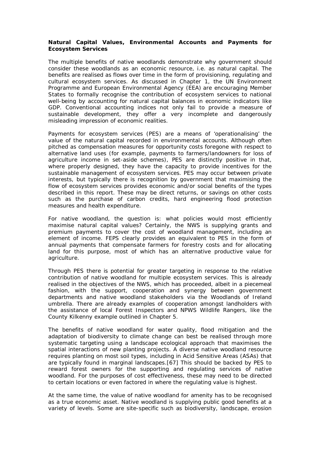#### **Natural Capital Values, Environmental Accounts and Payments for Ecosystem Services**

The multiple benefits of native woodlands demonstrate why government should consider these woodlands as an economic resource, i.e. as natural capital. The benefits are realised as flows over time in the form of provisioning, regulating and cultural ecosystem services. As discussed in Chapter 1, the UN Environment Programme and European Environmental Agency (EEA) are encouraging Member States to formally recognise the contribution of ecosystem services to national well-being by accounting for natural capital balances in economic indicators like GDP. Conventional accounting indices not only fail to provide a measure of sustainable development, they offer a very incomplete and dangerously misleading impression of economic realities.

Payments for ecosystem services (PES) are a means of 'operationalising' the value of the natural capital recorded in environmental accounts. Although often pitched as compensation measures for opportunity costs foregone with respect to alternative land uses (for example, payments to farmers/landowners for loss of agriculture income in set-aside schemes), PES are distinctly positive in that, where properly designed, they have the capacity to provide incentives for the sustainable management of ecosystem services. PES may occur between private interests, but typically there is recognition by government that maximising the flow of ecosystem services provides economic and/or social benefits of the types described in this report. These may be direct returns, or savings on other costs such as the purchase of carbon credits, hard engineering flood protection measures and health expenditure.

For native woodland, the question is: what policies would most efficiently maximise natural capital values? Certainly, the NWS is supplying grants and premium payments to cover the cost of woodland management, including an element of income. FEPS clearly provides an equivalent to PES in the form of annual payments that compensate farmers for forestry costs and for allocating land for this purpose, most of which has an alternative productive value for agriculture.

Through PES there is potential for greater targeting in response to the relative contribution of native woodland for multiple ecosystem services. This is already realised in the objectives of the NWS, which has proceeded, albeit in a piecemeal fashion, with the support, cooperation and synergy between government departments and native woodland stakeholders via the Woodlands of Ireland umbrella. There are already examples of cooperation amongst landholders with the assistance of local Forest Inspectors and NPWS Wildlife Rangers, like the County Kilkenny example outlined in Chapter 5.

The benefits of native woodland for water quality, flood mitigation and the adaptation of biodiversity to climate change can best be realised through more systematic targeting using a landscape ecological approach that maximises the spatial interactions of new planting projects. A diverse native woodland resource requires planting on most soil types, including in Acid Sensitive Areas (ASAs) that are typically found in marginal landscapes.[67] This should be backed by PES to reward forest owners for the supporting and regulating services of native woodland. For the purposes of cost effectiveness, these may need to be directed to certain locations or even factored in where the regulating value is highest.

At the same time, the value of native woodland for amenity has to be recognised as a true economic asset. Native woodland is supplying public good benefits at a variety of levels. Some are site-specific such as biodiversity, landscape, erosion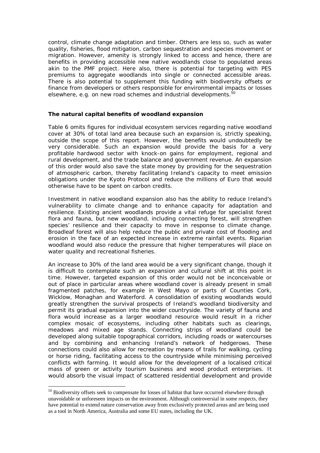control, climate change adaptation and timber. Others are less so, such as water quality, fisheries, flood mitigation, carbon sequestration and species movement or migration. However, amenity is strongly linked to access and hence, there are benefits in providing accessible new native woodlands close to populated areas akin to the PMF project. Here also, there is potential for targeting with PES premiums to aggregate woodlands into single or connected accessible areas. There is also potential to supplement this funding with biodiversity offsets or finance from developers or others responsible for environmental impacts or losses elsewhere, e.g. on new road schemes and industrial developments. $^{50}$ 

#### **The natural capital benefits of woodland expansion**

Table 6 omits figures for individual ecosystem services regarding native woodland cover at 30% of total land area because such an expansion is, strictly speaking, outside the scope of this report. However, the benefits would undoubtedly be very considerable. Such an expansion would provide the basis for a very profitable hardwood sector with knock-on gains for employment, regional and rural development, and the trade balance and government revenue. An expansion of this order would also save the state money by providing for the sequestration of atmospheric carbon, thereby facilitating Ireland's capacity to meet emission obligations under the Kyoto Protocol and reduce the millions of Euro that would otherwise have to be spent on carbon credits.

Investment in native woodland expansion also has the ability to reduce Ireland's vulnerability to climate change and to enhance capacity for adaptation and resilience. Existing ancient woodlands provide a vital refuge for specialist forest flora and fauna, but new woodland, including connecting forest, will strengthen species' resilience and their capacity to move in response to climate change. Broadleaf forest will also help reduce the public and private cost of flooding and erosion in the face of an expected increase in extreme rainfall events. Riparian woodland would also reduce the pressure that higher temperatures will place on water quality and recreational fisheries.

An increase to 30% of the land area would be a very significant change, though it is difficult to contemplate such an expansion and cultural shift at this point in time. However, targeted expansion of this order would not be inconceivable or out of place in particular areas where woodland cover is already present in small fragmented patches, for example in West Mayo or parts of Counties Cork, Wicklow, Monaghan and Waterford. A consolidation of existing woodlands would greatly strengthen the survival prospects of Ireland's woodland biodiversity and permit its gradual expansion into the wider countryside. The variety of fauna and flora would increase as a larger woodland resource would result in a richer complex mosaic of ecosystems, including other habitats such as clearings, meadows and mixed age stands. Connecting strips of woodland could be developed along suitable topographical corridors, including roads or watercourses and by combining and enhancing Ireland's network of hedgerows. These connections could also allow for recreation by means of trails for walking, cycling or horse riding, facilitating access to the countryside while minimising perceived conflicts with farming. It would allow for the development of a localised critical mass of green or activity tourism business and wood product enterprises. It would absorb the visual impact of scattered residential development and provide

 $\overline{a}$ 

<sup>&</sup>lt;sup>50</sup> Biodiversity offsets seek to compensate for losses of habitat that have occurred elsewhere through unavoidable or unforeseen impacts on the environment. Although controversial in some respects, they have potential to extend nature conservation away from exclusively protected areas and are being used as a tool in North America, Australia and some EU states, including the UK.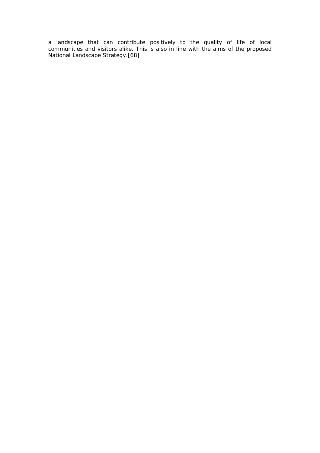a landscape that can contribute positively to the quality of life of local communities and visitors alike. This is also in line with the aims of the proposed National Landscape Strategy.[68]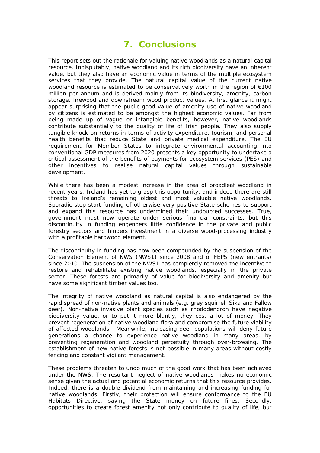### **7. Conclusions**

This report sets out the rationale for valuing native woodlands as a natural capital resource. Indisputably, native woodland and its rich biodiversity have an inherent value, but they also have an economic value in terms of the multiple ecosystem services that they provide. The natural capital value of the current native woodland resource is estimated to be conservatively worth in the region of €100 million per annum and is derived mainly from its biodiversity, amenity, carbon storage, firewood and downstream wood product values. At first glance it might appear surprising that the public good value of amenity use of native woodland by citizens is estimated to be amongst the highest economic values. Far from being made up of vague or intangible benefits, however, native woodlands contribute substantially to the quality of life of Irish people. They also supply tangible knock-on returns in terms of activity expenditure, tourism, and personal health benefits that reduce State and private medical expenditure. The EU requirement for Member States to integrate environmental accounting into conventional GDP measures from 2020 presents a key opportunity to undertake a critical assessment of the benefits of payments for ecosystem services (PES) and other incentives to realise natural capital values through sustainable development.

While there has been a modest increase in the area of broadleaf woodland in recent years, Ireland has yet to grasp this opportunity, and indeed there are still threats to Ireland's remaining oldest and most valuable native woodlands. Sporadic stop-start funding of otherwise very positive State schemes to support and expand this resource has undermined their undoubted successes. True, government must now operate under serious financial constraints, but this discontinuity in funding engenders little confidence in the private and public forestry sectors and hinders investment in a diverse wood-processing industry with a profitable hardwood element.

The discontinuity in funding has now been compounded by the suspension of the Conservation Element of NWS (NWS1) since 2008 and of FEPS (new entrants) since 2010. The suspension of the NWS1 has completely removed the incentive to restore and rehabilitate existing native woodlands, especially in the private sector. These forests are primarily of value for biodiversity and amenity but have some significant timber values too.

The integrity of native woodland as natural capital is also endangered by the rapid spread of non-native plants and animals (e.g. grey squirrel, Sika and Fallow deer). Non-native invasive plant species such as rhododendron have negative biodiversity value, or to put it more bluntly, they cost a lot of money. They prevent regeneration of native woodland flora and compromise the future viability of affected woodlands. Meanwhile, increasing deer populations will deny future generations a chance to experience native woodland in many areas, by preventing regeneration and woodland perpetuity through over-browsing. The establishment of new native forests is not possible in many areas without costly fencing and constant vigilant management.

These problems threaten to undo much of the good work that has been achieved under the NWS. The resultant neglect of native woodlands makes no economic sense given the actual and potential economic returns that this resource provides. Indeed, there is a double dividend from maintaining and increasing funding for native woodlands. Firstly, their protection will ensure conformance to the EU Habitats Directive, saving the State money on future fines. Secondly, opportunities to create forest amenity not only contribute to quality of life, but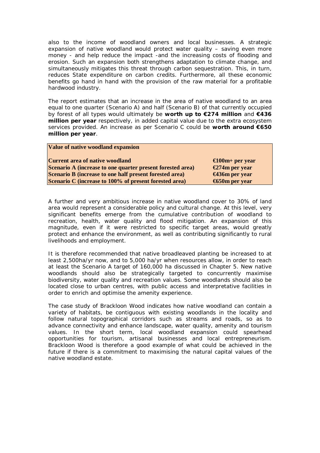also to the income of woodland owners and local businesses. A strategic expansion of native woodland would protect water quality – saving even more money - and help reduce the impact -and the increasing costs of flooding and erosion. Such an expansion both strengthens adaptation to climate change, and simultaneously mitigates this threat through carbon sequestration. This, in turn, reduces State expenditure on carbon credits. Furthermore, all these economic benefits go hand in hand with the provision of the raw material for a profitable hardwood industry.

The report estimates that an increase in the area of native woodland to an area equal to one quarter (Scenario A) and half (Scenario B) of that currently occupied by forest of all types would ultimately be **worth up to €274 million** and **€436 million per year** respectively, in added capital value due to the extra ecosystem services provided. An increase as per Scenario C could be **worth around €650 million per year**.

| Value of native woodland expansion                         |                 |
|------------------------------------------------------------|-----------------|
| Current area of native woodland                            | €100m+ per year |
| Scenario A (increase to one quarter present forested area) | €274m per year  |
| Scenario B (increase to one half present forested area)    | €436m per year  |
| Scenario C (increase to 100% of present forested area)     | €650m per year  |
|                                                            |                 |

A further and very ambitious increase in native woodland cover to 30% of land area would represent a considerable policy and cultural change. At this level, very significant benefits emerge from the cumulative contribution of woodland to recreation, health, water quality and flood mitigation. An expansion of this magnitude, even if it were restricted to specific target areas, would greatly protect and enhance the environment, as well as contributing significantly to rural livelihoods and employment.

It is therefore recommended that native broadleaved planting be increased to at least 2,500ha/yr now, and to 5,000 ha/yr when resources allow, in order to reach at least the Scenario A target of 160,000 ha discussed in Chapter 5. New native woodlands should also be strategically targeted to concurrently maximise biodiversity, water quality and recreation values. Some woodlands should also be located close to urban centres, with public access and interpretative facilities in order to enrich and optimise the amenity experience.

The case study of Brackloon Wood indicates how native woodland can contain a variety of habitats, be contiguous with existing woodlands in the locality and follow natural topographical corridors such as streams and roads, so as to advance connectivity and enhance landscape, water quality, amenity and tourism values. In the short term, local woodland expansion could spearhead opportunities for tourism, artisanal businesses and local entrepreneurism. Brackloon Wood is therefore a good example of what could be achieved in the future if there is a commitment to maximising the natural capital values of the native woodland estate.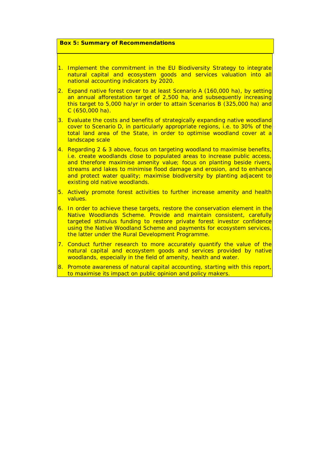#### **Box 5: Summary of Recommendations**

- 1. Implement the commitment in the EU Biodiversity Strategy to integrate natural capital and ecosystem goods and services valuation into all national accounting indicators by 2020.
- 2. Expand native forest cover to at least Scenario A (160,000 ha), by setting an annual afforestation target of 2,500 ha, and subsequently increasing this target to 5,000 ha/yr in order to attain Scenarios B (325,000 ha) and C (650,000 ha).
- 3. Evaluate the costs and benefits of strategically expanding native woodland cover to Scenario D, in particularly appropriate regions, i.e. to 30% of the total land area of the State, in order to optimise woodland cover at a landscape scale
- 4. Regarding 2 & 3 above, focus on targeting woodland to maximise benefits, i.e. create woodlands close to populated areas to increase public access, and therefore maximise amenity value; focus on planting beside rivers, streams and lakes to minimise flood damage and erosion, and to enhance and protect water quality; maximise biodiversity by planting adjacent to existing old native woodlands.
- 5. Actively promote forest activities to further increase amenity and health values.
- 6. In order to achieve these targets, restore the conservation element in the Native Woodlands Scheme. Provide and maintain consistent, carefully targeted stimulus funding to restore private forest investor confidence using the Native Woodland Scheme and payments for ecosystem services, the latter under the Rural Development Programme.
- 7. Conduct further research to more accurately quantify the value of the natural capital and ecosystem goods and services provided by native woodlands, especially in the field of amenity, health and water.
- 8. Promote awareness of natural capital accounting, starting with this report, to maximise its impact on public opinion and policy makers.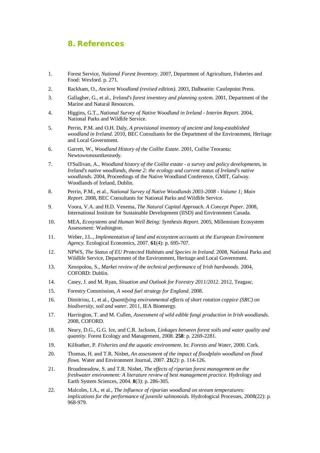### **8. References**

- 1. Forest Service, *National Forest Inventory*. 2007, Department of Agriculture, Fisheries and Food: Wexford. p. 271.
- 2. Rackham, O., *Ancient Woodland (revised edition)*. 2003, Dalbeattie: Castlepoint Press.
- 3. Gallagher, G., et al., *Ireland's forest inventory and planning system*. 2001, Department of the Marine and Natural Resources.
- 4. Higgins, G.T., *National Survey of Native Woodland in Ireland - Interim Report*. 2004, National Parks and Wildlife Service.
- 5. Perrin, P.M. and O.H. Daly, *A provisional inventory of ancient and long-established woodland in Ireland*. 2010, BEC Consultants for the Department of the Environment, Heritage and Local Government.
- 6. Garrett, W., *Woodland History of the Coillte Estate*. 2001, Coillte Teoranta: Newtownmountkennedy.
- 7. O'Sullivan, A., *Woodland history of the Coillte estate - a survey and policy developments*, in *Ireland's native woodlands, theme 2: the ecology and current status of Ireland's native woodlands*. 2004, Proceedings of the Native Woodland Conference, GMIT, Galway. Woodlands of Ireland, Dublin.
- 8. Perrin, P.M., et al., *National Survey of Native Woodlands 2003-2008 - Volume 1; Main Report*. 2008, BEC Consultants for National Parks and Wildlife Service.
- 9. Voora, V.A. and H.D. Venema, *The Natural Capital Approach. A Concept Paper*. 2008, International Institute for Sustainable Development (IISD) and Environment Canada.
- 10. MEA, *Ecosystems and Human Well Being: Synthesis Report*. 2005, Millennium Ecosystem Assessment: Washington.
- 11. Weber, J.L., *Implementation of land and ecosystem accounts at the European Environment Agency.* Ecological Economics, 2007. **61**(4): p. 695-707.
- 12. NPWS, *The Status of EU Protected Habitats and Species in Ireland*. 2008, National Parks and Wildlife Service, Department of the Environment, Heritage and Local Government.
- 13. Xenopolou, S., *Market review of the technical performance of Irish hardwoods*. 2004, COFORD: Dublin.
- 14. Casey, J. and M. Ryan, *Situation and Outlook for Forestry 2011/2012*. 2012, Teagasc.
- 15. Forestry Commission, *A wood fuel strategy for England*. 2008.
- 16. Dimitriou, I., et al., *Quantifying environmental effects of short rotation coppice (SRC) on biodiversity, soil and water*. 2011, IEA Bioenergy.
- 17. Harrington, T. and M. Cullen, *Assessment of wild edible fungi production in Irish woodlands.* 2008, COFORD.
- 18. Neary, D.G., G.G. Ice, and C.R. Jackson, *Linkages between forest soils and water quality and quantity.* Forest Ecology and Management, 2008. **258**: p. 2269-2281.
- 19. Kilfeather, P. *Fisheries and the aquatic environment*. In: *Forests and Water*, 2000. Cork.
- 20. Thomas, H. and T.R. Nisbet, *An assessment of the impact of floodplain woodland on flood flows.* Water and Environment Journal, 2007. **21**(2): p. 114-126.
- 21. Broadmeadow, S. and T.R. Nisbet, *The effects of riparian forest management on the freshwater environment: A literature review of best management practice.* Hydrology and Earth System Sciences, 2004. **8**(3): p. 286-305.
- 22. Malcolm, I.A., et al., *The influence of riparian woodland on stream temperatures: implications for the performance of juvenile salmonoids.* Hydrological Processes, 2008(22): p. 968-979.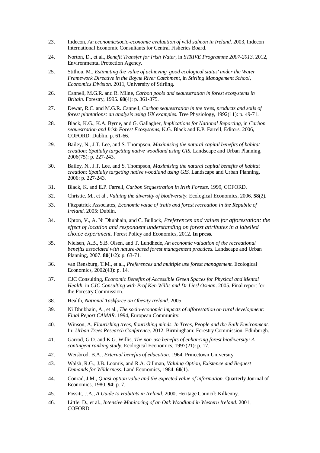- 23. Indecon, *An economic/socio-economic evaluation of wild salmon in Ireland*. 2003, Indecon International Economic Consultants for Central Fisheries Board.
- 24. Norton, D., et al., *Benefit Transfer for Irish Water*, in *STRIVE Programme 2007-2013*. 2012, Environmental Protection Agency.
- 25. Stithou, M., *Estimating the value of achieving 'good ecological status' under the Water Framework Directive in the Boyne River Catchment*, in *Stirling Management School, Economics Division*. 2011, University of Stirling.
- 26. Cannell, M.G.R. and R. Milne, *Carbon pools and sequestration in forest ecosystems in Britain.* Forestry, 1995. **68**(4): p. 361-375.
- 27. Dewar, R.C. and M.G.R. Cannell, *Carbon sequestration in the trees, products and soils of forest plantations: an analysis using UK examples.* Tree Physiology, 1992(11): p. 49-71.
- 28. Black, K.G., K.A. Byrne, and G. Gallagher, *Implications for National Reporting*, in *Carbon sequestration and Irish Forest Ecosystems*, K.G. Black and E.P. Farrell, Editors. 2006, COFORD: Dublin. p. 61-66.
- 29. Bailey, N., J.T. Lee, and S. Thompson, *Maximising the natural capital benefits of habitat creation: Spatially targetting native woodland using GIS.* Landscape and Urban Planning, 2006(75): p. 227-243.
- 30. Bailey, N., J.T. Lee, and S. Thompson, *Maximising the natural capital benefits of habitat creation: Spatially targeting native woodland using GIS.* Landscape and Urban Planning, 2006: p. 227-243.
- 31. Black, K. and E.P. Farrell, *Carbon Sequestration in Irish Forests*. 1999, COFORD.
- 32. Christie, M., et al., *Valuing the diversity of biodiversity.* Ecological Economics, 2006. **58**(2).
- 33. Fitzpatrick Associates, *Economic value of trails and forest recreation in the Republic of Ireland*. 2005: Dublin.
- 34. Upton, V., A. Ni Dhubhain, and C. Bullock, *Preferences and values for afforestation: the effect of location and respondent understanding on forest attributes in a labelled choice experiment.* Forest Policy and Economics, 2012. **In press**.
- 35. Nielsen, A.B., S.B. Olsen, and T. Lundhede, *An economic valuation of the recreational benefits associated with nature-based forest management practices.* Landscape and Urban Planning, 2007. **80**(1/2): p. 63-71.
- 36. van Rensburg, T.M., et al., *Preferences and multiple use forest management.* Ecological Economics, 2002(43): p. 14.
- 37. CJC Consulting, *Economic Benefits of Accessible Green Spaces for Physical and Mental Health*, in *CJC Consulting with Prof Ken Willis and Dr Liesl Osman*. 2005. Final report for the Forestry Commission.
- 38. Health, *National Taskforce on Obesity Ireland*. 2005.
- 39. Ni Dhubhain, A., et al., *The socio-economic impacts of afforestation on rural development: Final Report CAMAR*. 1994, European Community.
- 40. Winson, A. *Flourishing trees, flourishing minds. In Trees, People and the Built Environment.* In: *Urban Trees Research Conference*. 2012. Birmingham: Forestry Commission, Edinburgh.
- 41. Garrod, G.D. and K.G. Willis, *The non-use benefits of enhancing forest biodiversity: A contingent ranking study.* Ecological Economics, 1997(21): p. 17.
- 42. Weisbrod, B.A., *External benefits of education*. 1964, Princetown University.
- 43. Walsh, R.G., J.B. Loomis, and R.A. Gillman, *Valuing Option, Existence and Bequest Demands for Wilderness.* Land Economics, 1984. **60**(1).
- 44. Conrad, J.M., *Quasi-option value and the expected value of information.* Quarterly Journal of Economics, 1980. **94**: p. 7.
- 45. Fossitt, J.A., *A Guide to Habitats in Ireland*. 2000, Heritage Council: Kilkenny.
- 46. Little, D., et al., *Intensive Monitoring of an Oak Woodland in Western Ireland*. 2001, COFORD.